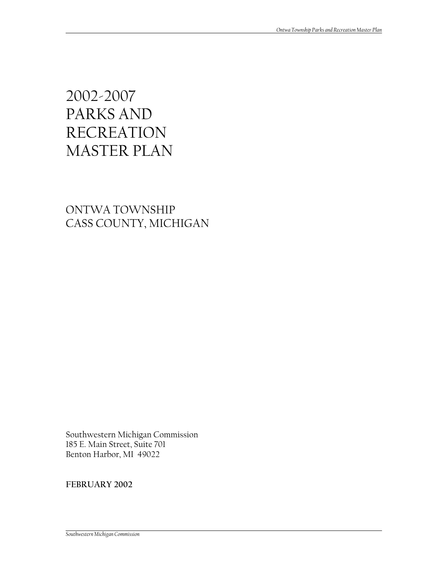# 2002-2007 PARKS AND RECREATION MASTER PLAN

## ONTWA TOWNSHIP CASS COUNTY, MICHIGAN

Southwestern Michigan Commission 185 E. Main Street, Suite 701 Benton Harbor, MI 49022

**FEBRUARY 2002**

*Southwestern Michigan Commission*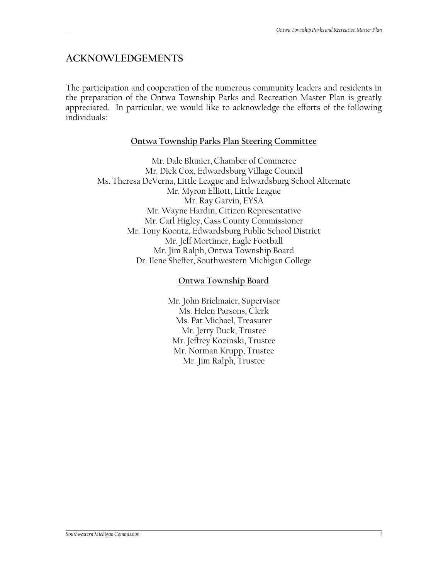## **ACKNOWLEDGEMENTS**

The participation and cooperation of the numerous community leaders and residents in the preparation of the Ontwa Township Parks and Recreation Master Plan is greatly appreciated. In particular, we would like to acknowledge the efforts of the following individuals:

## **Ontwa Township Parks Plan Steering Committee**

Mr. Dale Blunier, Chamber of Commerce Mr. Dick Cox, Edwardsburg Village Council Ms. Theresa DeVerna, Little League and Edwardsburg School Alternate Mr. Myron Elliott, Little League Mr. Ray Garvin, EYSA Mr. Wayne Hardin, Citizen Representative Mr. Carl Higley, Cass County Commissioner Mr. Tony Koontz, Edwardsburg Public School District Mr. Jeff Mortimer, Eagle Football Mr. Jim Ralph, Ontwa Township Board Dr. Ilene Sheffer, Southwestern Michigan College

#### **Ontwa Township Board**

Mr. John Brielmaier, Supervisor Ms. Helen Parsons, Clerk Ms. Pat Michael, Treasurer Mr. Jerry Duck, Trustee Mr. Jeffrey Kozinski, Trustee Mr. Norman Krupp, Trustee Mr. Jim Ralph, Trustee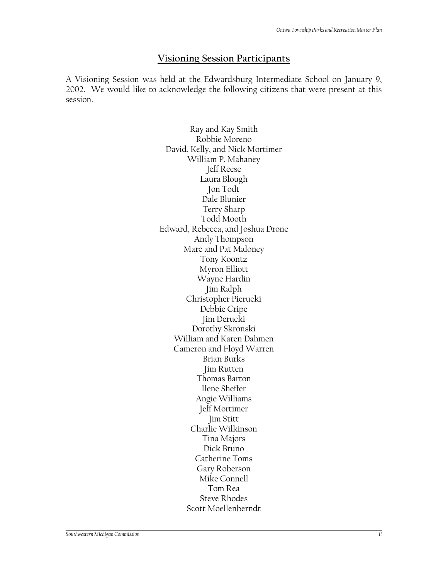#### **Visioning Session Participants**

A Visioning Session was held at the Edwardsburg Intermediate School on January 9, 2002. We would like to acknowledge the following citizens that were present at this session.

> Ray and Kay Smith Robbie Moreno David, Kelly, and Nick Mortimer William P. Mahaney Jeff Reese Laura Blough Jon Todt Dale Blunier Terry Sharp Todd Mooth Edward, Rebecca, and Joshua Drone Andy Thompson Marc and Pat Maloney Tony Koontz Myron Elliott Wayne Hardin Jim Ralph Christopher Pierucki Debbie Cripe Jim Derucki Dorothy Skronski William and Karen Dahmen Cameron and Floyd Warren Brian Burks Jim Rutten Thomas Barton Ilene Sheffer Angie Williams Jeff Mortimer Jim Stitt Charlie Wilkinson Tina Majors Dick Bruno Catherine Toms Gary Roberson Mike Connell Tom Rea Steve Rhodes Scott Moellenberndt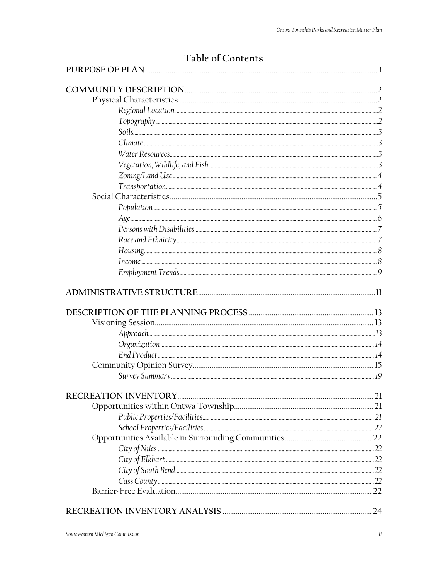# Table of Contents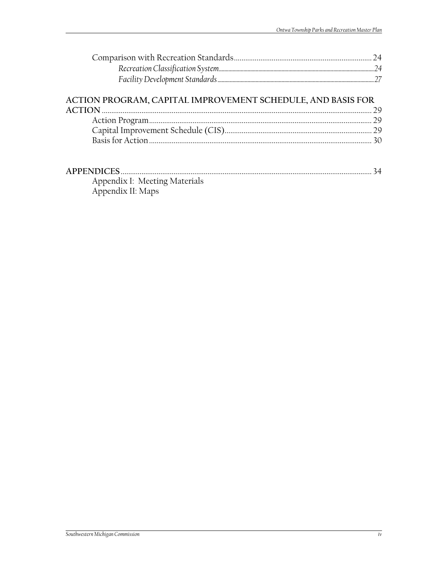## ACTION PROGRAM, CAPITAL IMPROVEMENT SCHEDULE, AND BASIS FOR

| <b>APPENDICES</b>             |  |
|-------------------------------|--|
| Appendix I: Meeting Materials |  |
| Appendix II: Maps             |  |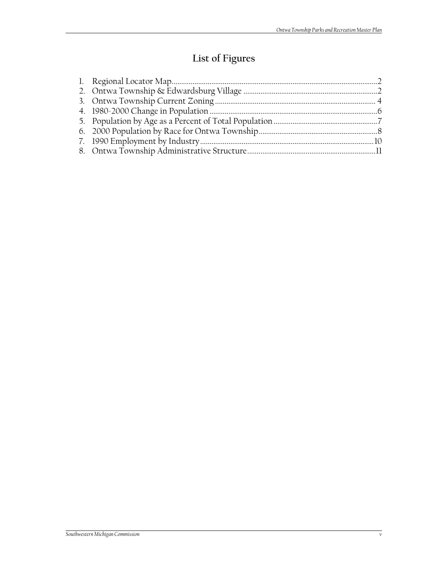# **List of Figures**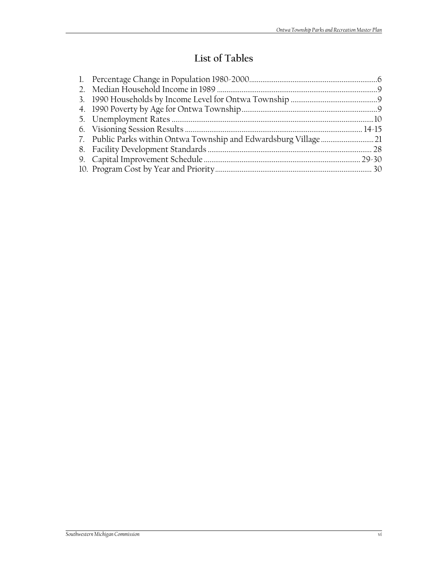# **List of Tables**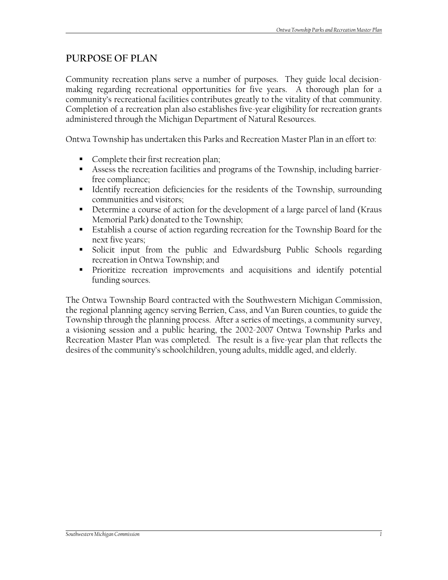## **PURPOSE OF PLAN**

Community recreation plans serve a number of purposes. They guide local decisionmaking regarding recreational opportunities for five years. A thorough plan for a community's recreational facilities contributes greatly to the vitality of that community. Completion of a recreation plan also establishes five-year eligibility for recreation grants administered through the Michigan Department of Natural Resources.

Ontwa Township has undertaken this Parks and Recreation Master Plan in an effort to:

- Complete their first recreation plan;
- Assess the recreation facilities and programs of the Township, including barrierfree compliance;
- Identify recreation deficiencies for the residents of the Township, surrounding communities and visitors;
- Determine a course of action for the development of a large parcel of land (Kraus Memorial Park) donated to the Township;
- Establish a course of action regarding recreation for the Township Board for the next five years;
- Solicit input from the public and Edwardsburg Public Schools regarding recreation in Ontwa Township; and
- Prioritize recreation improvements and acquisitions and identify potential funding sources.

The Ontwa Township Board contracted with the Southwestern Michigan Commission, the regional planning agency serving Berrien, Cass, and Van Buren counties, to guide the Township through the planning process. After a series of meetings, a community survey, a visioning session and a public hearing, the 2002-2007 Ontwa Township Parks and Recreation Master Plan was completed. The result is a five-year plan that reflects the desires of the community's schoolchildren, young adults, middle aged, and elderly.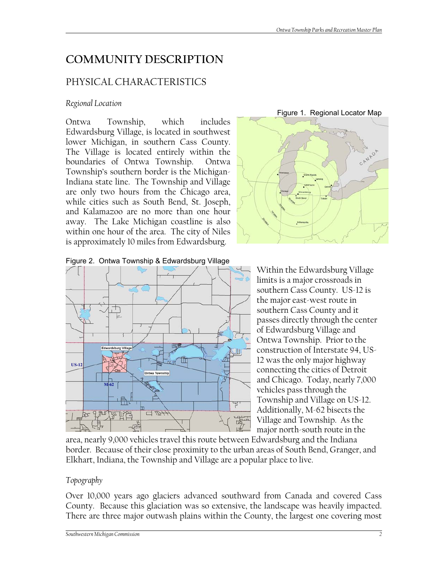# **COMMUNITY DESCRIPTION**

## PHYSICAL CHARACTERISTICS

#### *Regional Location*

Ontwa Township, which includes Edwardsburg Village, is located in southwest lower Michigan, in southern Cass County. The Village is located entirely within the boundaries of Ontwa Township. Ontwa Township's southern border is the Michigan-Indiana state line. The Township and Village are only two hours from the Chicago area, while cities such as South Bend, St. Joseph, and Kalamazoo are no more than one hour away. The Lake Michigan coastline is also within one hour of the area. The city of Niles is approximately 10 miles from Edwardsburg.



Figure 2. Ontwa Township & Edwardsburg Village



Within the Edwardsburg Village limits is a major crossroads in southern Cass County. US-12 is the major east-west route in southern Cass County and it passes directly through the center of Edwardsburg Village and Ontwa Township. Prior to the construction of Interstate 94, US-12 was the only major highway connecting the cities of Detroit and Chicago. Today, nearly 7,000 vehicles pass through the Township and Village on US-12. Additionally, M-62 bisects the Village and Township. As the major north-south route in the

area, nearly 9,000 vehicles travel this route between Edwardsburg and the Indiana border. Because of their close proximity to the urban areas of South Bend, Granger, and Elkhart, Indiana, the Township and Village are a popular place to live.

#### *Topography*

Over 10,000 years ago glaciers advanced southward from Canada and covered Cass County. Because this glaciation was so extensive, the landscape was heavily impacted. There are three major outwash plains within the County, the largest one covering most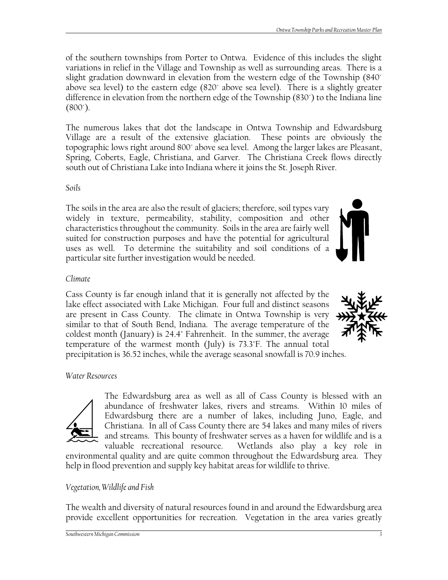of the southern townships from Porter to Ontwa. Evidence of this includes the slight variations in relief in the Village and Township as well as surrounding areas. There is a slight gradation downward in elevation from the western edge of the Township (840´ above sea level) to the eastern edge (820´ above sea level). There is a slightly greater difference in elevation from the northern edge of the Township (830´) to the Indiana line  $(800^{\circ})$ .

The numerous lakes that dot the landscape in Ontwa Township and Edwardsburg Village are a result of the extensive glaciation. These points are obviously the topographic lows right around 800´ above sea level. Among the larger lakes are Pleasant, Spring, Coberts, Eagle, Christiana, and Garver. The Christiana Creek flows directly south out of Christiana Lake into Indiana where it joins the St. Joseph River.

## *Soils*

The soils in the area are also the result of glaciers; therefore, soil types vary widely in texture, permeability, stability, composition and other characteristics throughout the community. Soils in the area are fairly well suited for construction purposes and have the potential for agricultural uses as well. To determine the suitability and soil conditions of a particular site further investigation would be needed.

## *Climate*

Cass County is far enough inland that it is generally not affected by the lake effect associated with Lake Michigan. Four full and distinct seasons are present in Cass County. The climate in Ontwa Township is very similar to that of South Bend, Indiana. The average temperature of the coldest month (January) is 24.4˚ Fahrenheit. In the summer, the average temperature of the warmest month (July) is 73.3˚F. The annual total precipitation is 36.52 inches, while the average seasonal snowfall is 70.9 inches.

## *Water Resources*



The Edwardsburg area as well as all of Cass County is blessed with an abundance of freshwater lakes, rivers and streams. Within 10 miles of Edwardsburg there are a number of lakes, including Juno, Eagle, and Christiana. In all of Cass County there are 54 lakes and many miles of rivers and streams. This bounty of freshwater serves as a haven for wildlife and is a valuable recreational resource. Wetlands also play a key role in

environmental quality and are quite common throughout the Edwardsburg area. They help in flood prevention and supply key habitat areas for wildlife to thrive.

## *Vegetation, Wildlife and Fish*

The wealth and diversity of natural resources found in and around the Edwardsburg area provide excellent opportunities for recreation. Vegetation in the area varies greatly

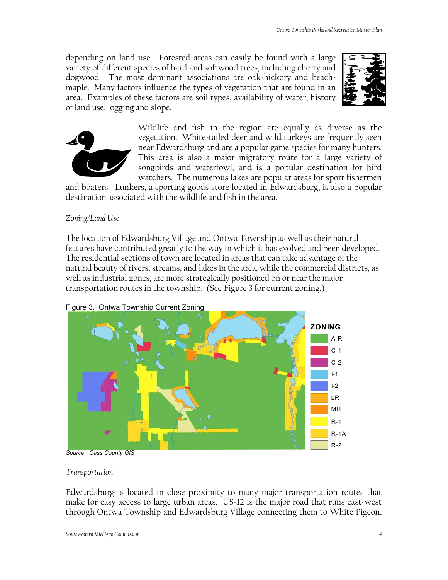depending on land use. Forested areas can easily be found with a large variety of different species of hard and softwood trees, including cherry and dogwood. The most dominant associations are oak-hickory and beachmaple. Many factors influence the types of vegetation that are found in an area. Examples of these factors are soil types, availability of water, history of land use, logging and slope.





Wildlife and fish in the region are equally as diverse as the vegetation. White-tailed deer and wild turkeys are frequently seen near Edwardsburg and are a popular game species for many hunters. This area is also a major migratory route for a large variety of songbirds and waterfowl, and is a popular destination for bird watchers. The numerous lakes are popular areas for sport fishermen

and boaters. Lunkers, a sporting goods store located in Edwardsburg, is also a popular destination associated with the wildlife and fish in the area.

#### *Zoning/Land Use*

The location of Edwardsburg Village and Ontwa Township as well as their natural features have contributed greatly to the way in which it has evolved and been developed. The residential sections of town are located in areas that can take advantage of the natural beauty of rivers, streams, and lakes in the area, while the commercial districts, as well as industrial zones, are more strategically positioned on or near the major transportation routes in the township. (See Figure 3 for current zoning.)



Figure 3. Ontwa Township Current Zoning

#### *Transportation*

Edwardsburg is located in close proximity to many major transportation routes that make for easy access to large urban areas. US-12 is the major road that runs east-west through Ontwa Township and Edwardsburg Village connecting them to White Pigeon,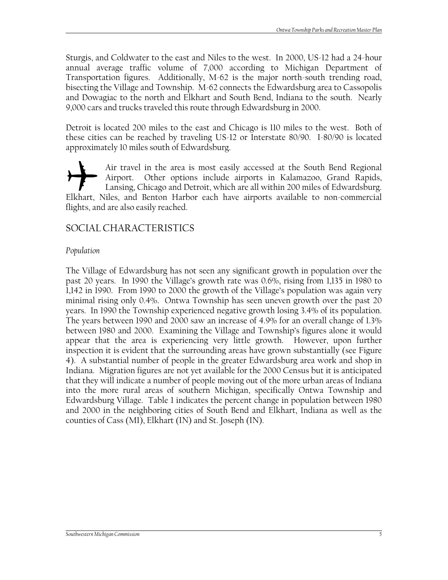Sturgis, and Coldwater to the east and Niles to the west. In 2000, US-12 had a 24-hour annual average traffic volume of 7,000 according to Michigan Department of Transportation figures. Additionally, M-62 is the major north-south trending road, bisecting the Village and Township. M-62 connects the Edwardsburg area to Cassopolis and Dowagiac to the north and Elkhart and South Bend, Indiana to the south. Nearly 9,000 cars and trucks traveled this route through Edwardsburg in 2000.

Detroit is located 200 miles to the east and Chicago is 110 miles to the west. Both of these cities can be reached by traveling US-12 or Interstate 80/90. I-80/90 is located approximately 10 miles south of Edwardsburg.

Air travel in the area is most easily accessed at the South Bend Regional Airport. Other options include airports in Kalamazoo, Grand Rapids, Lansing, Chicago and Detroit, which are all within 200 miles of Edwardsburg. Elkhart, Niles, and Benton Harbor each have airports available to non-commercial flights, and are also easily reached.

## SOCIAL CHARACTERISTICS

#### *Population*

The Village of Edwardsburg has not seen any significant growth in population over the past 20 years. In 1990 the Village's growth rate was 0.6%, rising from 1,135 in 1980 to 1,142 in 1990. From 1990 to 2000 the growth of the Village's population was again very minimal rising only 0.4%. Ontwa Township has seen uneven growth over the past 20 years. In 1990 the Township experienced negative growth losing 3.4% of its population. The years between 1990 and 2000 saw an increase of 4.9% for an overall change of 1.3% between 1980 and 2000. Examining the Village and Township's figures alone it would appear that the area is experiencing very little growth. However, upon further inspection it is evident that the surrounding areas have grown substantially (see Figure 4). A substantial number of people in the greater Edwardsburg area work and shop in Indiana. Migration figures are not yet available for the 2000 Census but it is anticipated that they will indicate a number of people moving out of the more urban areas of Indiana into the more rural areas of southern Michigan, specifically Ontwa Township and Edwardsburg Village. Table 1 indicates the percent change in population between 1980 and 2000 in the neighboring cities of South Bend and Elkhart, Indiana as well as the counties of Cass (MI), Elkhart (IN) and St. Joseph (IN).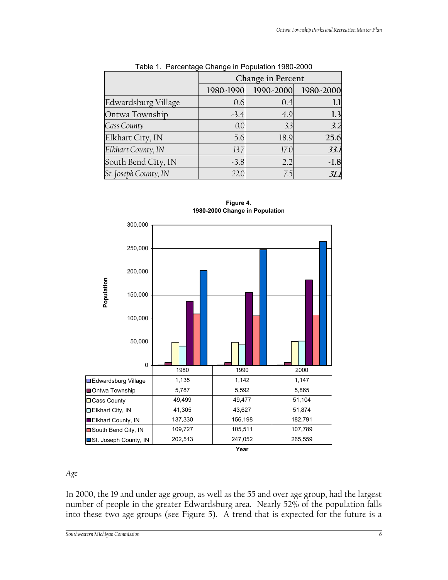|                       | Change in Percent |           |           |
|-----------------------|-------------------|-----------|-----------|
|                       | 1980-1990         | 1990-2000 | 1980-2000 |
| Edwardsburg Village   | 0.6               | 0.4       |           |
| Ontwa Township        | $-3.4$            | 4.9       | 1.3       |
| Cass County           | 0.0               | 3.3       | 3.2       |
| Elkhart City, IN      | 5.6               | 18.9      | 25.6      |
| Elkhart County, IN    | 13.7              | 17.0      | 33.1      |
| South Bend City, IN   | $-3.8$            | 2.2       | $-1.8$    |
| St. Joseph County, IN | 22.0              | 7.5       | 3l.1      |

|  |  |  | Table 1. Percentage Change in Population 1980-2000 |  |
|--|--|--|----------------------------------------------------|--|
|--|--|--|----------------------------------------------------|--|





#### *Age*

In 2000, the 19 and under age group, as well as the 55 and over age group, had the largest number of people in the greater Edwardsburg area. Nearly 52% of the population falls into these two age groups (see Figure 5). A trend that is expected for the future is a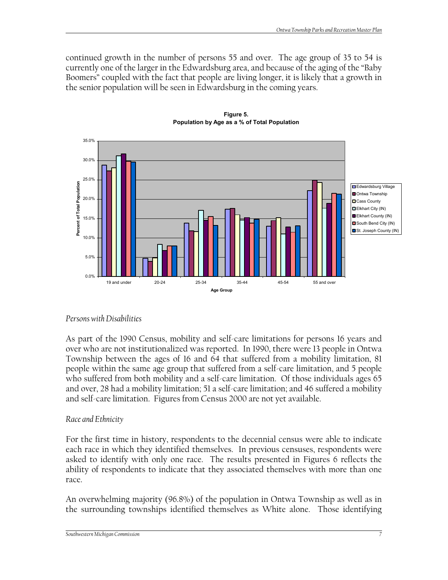continued growth in the number of persons 55 and over. The age group of 35 to 54 is currently one of the larger in the Edwardsburg area, and because of the aging of the "Baby Boomers" coupled with the fact that people are living longer, it is likely that a growth in the senior population will be seen in Edwardsburg in the coming years.



**Figure 5. Population by Age as a % of Total Population**

#### *Persons with Disabilities*

As part of the 1990 Census, mobility and self-care limitations for persons 16 years and over who are not institutionalized was reported. In 1990, there were 13 people in Ontwa Township between the ages of 16 and 64 that suffered from a mobility limitation, 81 people within the same age group that suffered from a self-care limitation, and 5 people who suffered from both mobility and a self-care limitation. Of those individuals ages 65 and over, 28 had a mobility limitation; 51 a self-care limitation; and 46 suffered a mobility and self-care limitation. Figures from Census 2000 are not yet available.

#### *Race and Ethnicity*

For the first time in history, respondents to the decennial census were able to indicate each race in which they identified themselves. In previous censuses, respondents were asked to identify with only one race. The results presented in Figures 6 reflects the ability of respondents to indicate that they associated themselves with more than one race.

An overwhelming majority (96.8%) of the population in Ontwa Township as well as in the surrounding townships identified themselves as White alone. Those identifying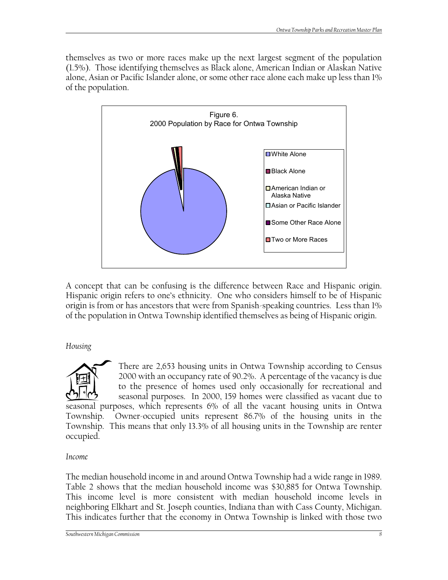themselves as two or more races make up the next largest segment of the population (1.5%). Those identifying themselves as Black alone, American Indian or Alaskan Native alone, Asian or Pacific Islander alone, or some other race alone each make up less than 1% of the population.



A concept that can be confusing is the difference between Race and Hispanic origin. Hispanic origin refers to one's ethnicity. One who considers himself to be of Hispanic origin is from or has ancestors that were from Spanish-speaking countries. Less than 1% of the population in Ontwa Township identified themselves as being of Hispanic origin.

*Housing*

There are 2,653 housing units in Ontwa Township according to Census 2000 with an occupancy rate of 90.2%. A percentage of the vacancy is due to the presence of homes used only occasionally for recreational and seasonal purposes. In 2000, 159 homes were classified as vacant due to seasonal purposes, which represents 6% of all the vacant housing units in Ontwa Township. Owner-occupied units represent 86.7% of the housing units in the Township. This means that only 13.3% of all housing units in the Township are renter occupied.

*Income* 

The median household income in and around Ontwa Township had a wide range in 1989. Table 2 shows that the median household income was \$30,885 for Ontwa Township. This income level is more consistent with median household income levels in neighboring Elkhart and St. Joseph counties, Indiana than with Cass County, Michigan. This indicates further that the economy in Ontwa Township is linked with those two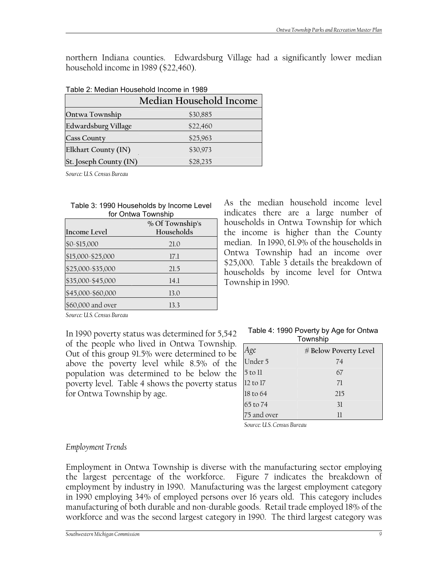northern Indiana counties. Edwardsburg Village had a significantly lower median household income in 1989 (\$22,460).

|                            | Median Household Income |
|----------------------------|-------------------------|
| Ontwa Township             | \$30,885                |
| <b>Edwardsburg Village</b> | \$22,460                |
| <b>Cass County</b>         | \$25,963                |
| Elkhart County (IN)        | \$30,973                |
| St. Joseph County (IN)     | \$28,235                |

#### Table 2: Median Household Income in 1989

*Source: U.S. Census Bureau* 

| Table 3: 1990 Households by Income Level |
|------------------------------------------|
| for Ontwa Township                       |

| Income Level      | % Of Township's<br>Households |
|-------------------|-------------------------------|
| \$0-\$15,000      | 21.0                          |
| \$15,000-\$25,000 | 17.1                          |
| \$25,000-\$35,000 | 21.5                          |
| \$35,000-\$45,000 | 14.1                          |
| \$45,000-\$60,000 | 13.0                          |
| \$60,000 and over | 13.3                          |

As the median household income level indicates there are a large number of households in Ontwa Township for which the income is higher than the County median. In 1990, 61.9% of the households in Ontwa Township had an income over \$25,000. Table 3 details the breakdown of households by income level for Ontwa Township in 1990.

*Source: U.S. Census Bureau* 

In 1990 poverty status was determined for 5,542 of the people who lived in Ontwa Township. Out of this group 91.5% were determined to be above the poverty level while 8.5% of the population was determined to be below the poverty level. Table 4 shows the poverty status for Ontwa Township by age.

| Table 4: 1990 Poverty by Age for Ontwa |
|----------------------------------------|
| Township                               |

| Age         | # Below Poverty Level |
|-------------|-----------------------|
| Under 5     | 74                    |
| 5 to 11     | 67                    |
| 12 to 17    | 71                    |
| 18 to 64    | 215                   |
| 65 to 74    | 31                    |
| 75 and over | 11                    |

*Source: U.S. Census Bureau* 

#### *Employment Trends*

Employment in Ontwa Township is diverse with the manufacturing sector employing the largest percentage of the workforce. Figure 7 indicates the breakdown of employment by industry in 1990. Manufacturing was the largest employment category in 1990 employing 34% of employed persons over 16 years old. This category includes manufacturing of both durable and non-durable goods. Retail trade employed 18% of the workforce and was the second largest category in 1990. The third largest category was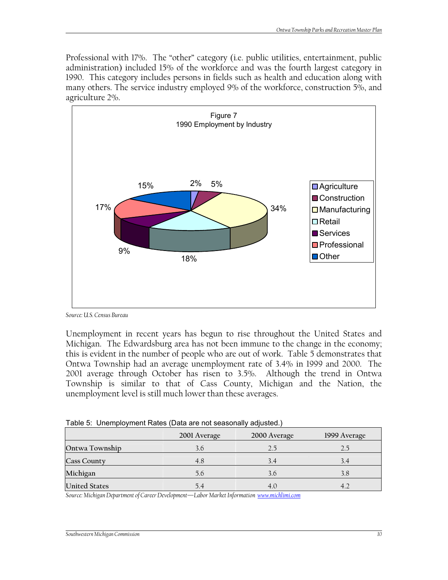Professional with 17%. The "other" category (i.e. public utilities, entertainment, public administration) included 15% of the workforce and was the fourth largest category in 1990. This category includes persons in fields such as health and education along with many others. The service industry employed 9% of the workforce, construction 5%, and agriculture 2%.



*Source: U.S. Census Bureau* 

Unemployment in recent years has begun to rise throughout the United States and Michigan. The Edwardsburg area has not been immune to the change in the economy; this is evident in the number of people who are out of work. Table 5 demonstrates that Ontwa Township had an average unemployment rate of 3.4% in 1999 and 2000. The 2001 average through October has risen to 3.5%. Although the trend in Ontwa Township is similar to that of Cass County, Michigan and the Nation, the unemployment level is still much lower than these averages.

Table 5: Unemployment Rates (Data are not seasonally adjusted.)

|                      | 2001 Average | 2000 Average | 1999 Average |
|----------------------|--------------|--------------|--------------|
| Ontwa Township       | 3.6          | 2.5          | 25           |
| <b>Cass County</b>   | 4.8          | 3.4          | 3.4          |
| Michigan             | 5.6          | 3.6          | 3.8          |
| <b>United States</b> | 5.4          | 4.0          |              |

*Source: Michigan Department of Career Development—Labor Market Information [www.michlimi.com](http://www.michlimi.com/)*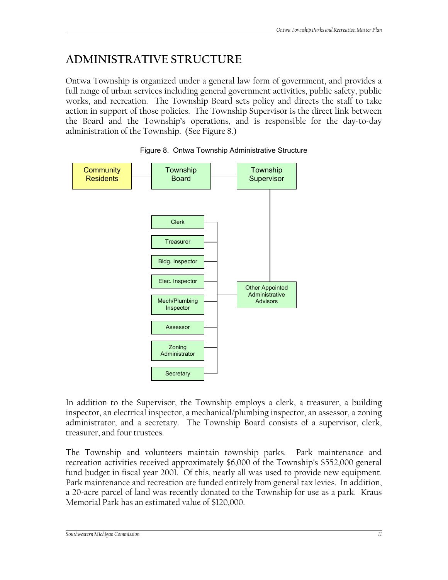# **ADMINISTRATIVE STRUCTURE**

Ontwa Township is organized under a general law form of government, and provides a full range of urban services including general government activities, public safety, public works, and recreation. The Township Board sets policy and directs the staff to take action in support of those policies. The Township Supervisor is the direct link between the Board and the Township's operations, and is responsible for the day-to-day administration of the Township. (See Figure 8.)



#### Figure 8. Ontwa Township Administrative Structure

In addition to the Supervisor, the Township employs a clerk, a treasurer, a building inspector, an electrical inspector, a mechanical/plumbing inspector, an assessor, a zoning administrator, and a secretary. The Township Board consists of a supervisor, clerk, treasurer, and four trustees.

The Township and volunteers maintain township parks. Park maintenance and recreation activities received approximately \$6,000 of the Township's \$552,000 general fund budget in fiscal year 2001. Of this, nearly all was used to provide new equipment. Park maintenance and recreation are funded entirely from general tax levies. In addition, a 20-acre parcel of land was recently donated to the Township for use as a park. Kraus Memorial Park has an estimated value of \$120,000.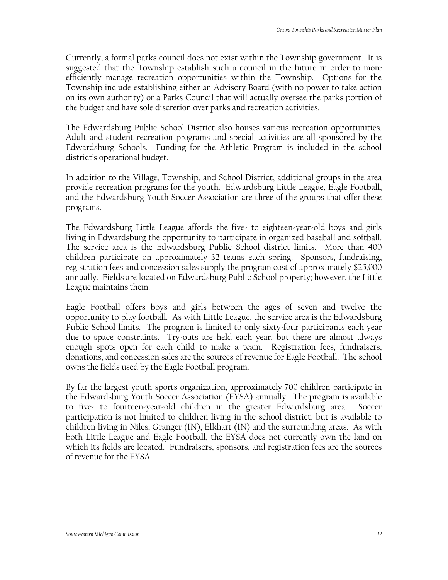Currently, a formal parks council does not exist within the Township government. It is suggested that the Township establish such a council in the future in order to more efficiently manage recreation opportunities within the Township. Options for the Township include establishing either an Advisory Board (with no power to take action on its own authority) or a Parks Council that will actually oversee the parks portion of the budget and have sole discretion over parks and recreation activities.

The Edwardsburg Public School District also houses various recreation opportunities. Adult and student recreation programs and special activities are all sponsored by the Edwardsburg Schools. Funding for the Athletic Program is included in the school district's operational budget.

In addition to the Village, Township, and School District, additional groups in the area provide recreation programs for the youth. Edwardsburg Little League, Eagle Football, and the Edwardsburg Youth Soccer Association are three of the groups that offer these programs.

The Edwardsburg Little League affords the five- to eighteen-year-old boys and girls living in Edwardsburg the opportunity to participate in organized baseball and softball. The service area is the Edwardsburg Public School district limits. More than 400 children participate on approximately 32 teams each spring. Sponsors, fundraising, registration fees and concession sales supply the program cost of approximately \$25,000 annually. Fields are located on Edwardsburg Public School property; however, the Little League maintains them.

Eagle Football offers boys and girls between the ages of seven and twelve the opportunity to play football. As with Little League, the service area is the Edwardsburg Public School limits. The program is limited to only sixty-four participants each year due to space constraints. Try-outs are held each year, but there are almost always enough spots open for each child to make a team. Registration fees, fundraisers, donations, and concession sales are the sources of revenue for Eagle Football. The school owns the fields used by the Eagle Football program.

By far the largest youth sports organization, approximately 700 children participate in the Edwardsburg Youth Soccer Association (EYSA) annually. The program is available to five- to fourteen-year-old children in the greater Edwardsburg area. Soccer participation is not limited to children living in the school district, but is available to children living in Niles, Granger (IN), Elkhart (IN) and the surrounding areas. As with both Little League and Eagle Football, the EYSA does not currently own the land on which its fields are located. Fundraisers, sponsors, and registration fees are the sources of revenue for the EYSA.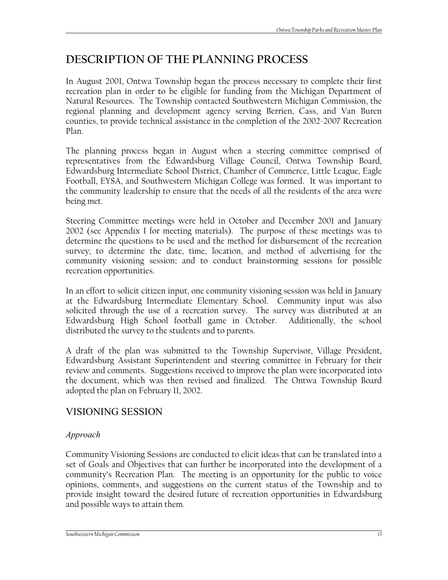# **DESCRIPTION OF THE PLANNING PROCESS**

In August 2001, Ontwa Township began the process necessary to complete their first recreation plan in order to be eligible for funding from the Michigan Department of Natural Resources. The Township contacted Southwestern Michigan Commission, the regional planning and development agency serving Berrien, Cass, and Van Buren counties, to provide technical assistance in the completion of the 2002-2007 Recreation Plan.

The planning process began in August when a steering committee comprised of representatives from the Edwardsburg Village Council, Ontwa Township Board, Edwardsburg Intermediate School District, Chamber of Commerce, Little League, Eagle Football, EYSA, and Southwestern Michigan College was formed. It was important to the community leadership to ensure that the needs of all the residents of the area were being met.

Steering Committee meetings were held in October and December 2001 and January 2002 (see Appendix I for meeting materials). The purpose of these meetings was to determine the questions to be used and the method for disbursement of the recreation survey; to determine the date, time, location, and method of advertising for the community visioning session; and to conduct brainstorming sessions for possible recreation opportunities.

In an effort to solicit citizen input, one community visioning session was held in January at the Edwardsburg Intermediate Elementary School. Community input was also solicited through the use of a recreation survey. The survey was distributed at an Edwardsburg High School football game in October. Additionally, the school distributed the survey to the students and to parents.

A draft of the plan was submitted to the Township Supervisor, Village President, Edwardsburg Assistant Superintendent and steering committee in February for their review and comments. Suggestions received to improve the plan were incorporated into the document, which was then revised and finalized. The Ontwa Township Board adopted the plan on February 11, 2002.

## VISIONING SESSION

## *Approach*

Community Visioning Sessions are conducted to elicit ideas that can be translated into a set of Goals and Objectives that can further be incorporated into the development of a community's Recreation Plan. The meeting is an opportunity for the public to voice opinions, comments, and suggestions on the current status of the Township and to provide insight toward the desired future of recreation opportunities in Edwardsburg and possible ways to attain them.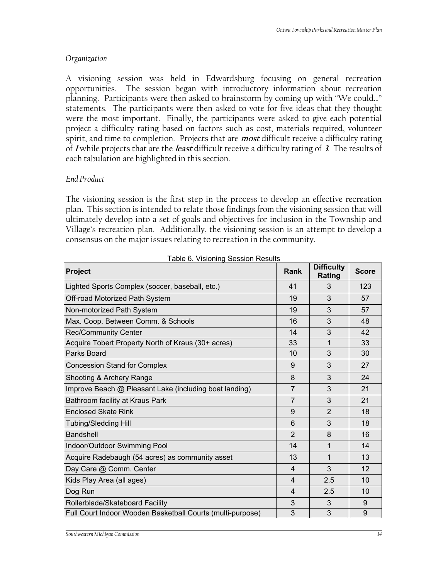#### *Organization*

A visioning session was held in Edwardsburg focusing on general recreation opportunities. The session began with introductory information about recreation planning. Participants were then asked to brainstorm by coming up with "We could…" statements. The participants were then asked to vote for five ideas that they thought were the most important. Finally, the participants were asked to give each potential project a difficulty rating based on factors such as cost, materials required, volunteer spirit, and time to completion. Projects that are **most** difficult receive a difficulty rating of **1** while projects that are the **least** difficult receive a difficulty rating of **3**. The results of each tabulation are highlighted in this section.

#### *End Product*

The visioning session is the first step in the process to develop an effective recreation plan. This section is intended to relate those findings from the visioning session that will ultimately develop into a set of goals and objectives for inclusion in the Township and Village's recreation plan. Additionally, the visioning session is an attempt to develop a consensus on the major issues relating to recreation in the community.

| Project                                                    | Rank           | <b>Difficulty</b><br>Rating | <b>Score</b> |
|------------------------------------------------------------|----------------|-----------------------------|--------------|
| Lighted Sports Complex (soccer, baseball, etc.)            | 41             | 3                           | 123          |
| Off-road Motorized Path System                             | 19             | 3                           | 57           |
| Non-motorized Path System                                  | 19             | 3                           | 57           |
| Max. Coop. Between Comm. & Schools                         | 16             | 3                           | 48           |
| <b>Rec/Community Center</b>                                | 14             | 3                           | 42           |
| Acquire Tobert Property North of Kraus (30+ acres)         | 33             | 1                           | 33           |
| Parks Board                                                | 10             | 3                           | 30           |
| <b>Concession Stand for Complex</b>                        | 9              | 3                           | 27           |
| Shooting & Archery Range                                   | 8              | 3                           | 24           |
| Improve Beach @ Pleasant Lake (including boat landing)     | $\overline{7}$ | 3                           | 21           |
| Bathroom facility at Kraus Park                            | $\overline{7}$ | 3                           | 21           |
| <b>Enclosed Skate Rink</b>                                 | 9              | $\overline{2}$              | 18           |
| <b>Tubing/Sledding Hill</b>                                | 6              | 3                           | 18           |
| <b>Bandshell</b>                                           | 2              | 8                           | 16           |
| Indoor/Outdoor Swimming Pool                               | 14             | 1                           | 14           |
| Acquire Radebaugh (54 acres) as community asset            | 13             | $\mathbf{1}$                | 13           |
| Day Care @ Comm. Center                                    | 4              | 3                           | 12           |
| Kids Play Area (all ages)                                  | $\overline{4}$ | 2.5                         | 10           |
| Dog Run                                                    | 4              | 2.5                         | 10           |
| Rollerblade/Skateboard Facility                            | 3              | 3                           | 9            |
| Full Court Indoor Wooden Basketball Courts (multi-purpose) | 3              | 3                           | 9            |

Table 6. Visioning Session Results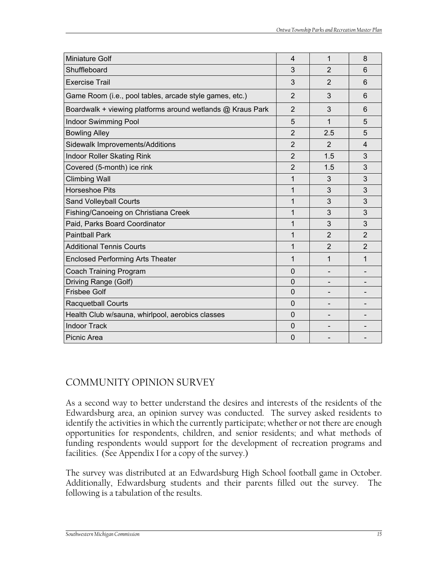| <b>Miniature Golf</b>                                      | 4              | 1              | 8              |
|------------------------------------------------------------|----------------|----------------|----------------|
| Shuffleboard                                               | 3              | $\overline{2}$ | 6              |
| <b>Exercise Trail</b>                                      | 3              | 2              | 6              |
| Game Room (i.e., pool tables, arcade style games, etc.)    | $\overline{2}$ | 3              | 6              |
| Boardwalk + viewing platforms around wetlands @ Kraus Park | $\overline{2}$ | 3              | 6              |
| <b>Indoor Swimming Pool</b>                                | 5              | 1              | 5              |
| <b>Bowling Alley</b>                                       | $\overline{2}$ | 2.5            | 5              |
| Sidewalk Improvements/Additions                            | $\overline{2}$ | 2              | $\overline{4}$ |
| <b>Indoor Roller Skating Rink</b>                          | $\overline{2}$ | 1.5            | 3              |
| Covered (5-month) ice rink                                 | $\overline{2}$ | 1.5            | 3              |
| <b>Climbing Wall</b>                                       | 1              | 3              | 3              |
| <b>Horseshoe Pits</b>                                      | 1              | 3              | 3              |
| Sand Volleyball Courts                                     | 1              | 3              | 3              |
| Fishing/Canoeing on Christiana Creek                       | 1              | 3              | 3              |
| Paid, Parks Board Coordinator                              | 1              | 3              | 3              |
| <b>Paintball Park</b>                                      | 1              | $\overline{2}$ | 2              |
| <b>Additional Tennis Courts</b>                            | 1              | $\overline{2}$ | 2              |
| <b>Enclosed Performing Arts Theater</b>                    | 1              | 1              | 1              |
| Coach Training Program                                     | $\mathbf{0}$   | -              |                |
| Driving Range (Golf)                                       | 0              |                |                |
| <b>Frisbee Golf</b>                                        | $\overline{0}$ |                |                |
| <b>Racquetball Courts</b>                                  | $\Omega$       |                |                |
| Health Club w/sauna, whirlpool, aerobics classes           | $\Omega$       |                |                |
| <b>Indoor Track</b>                                        | 0              |                |                |
| Picnic Area                                                | $\mathbf{0}$   |                |                |

## COMMUNITY OPINION SURVEY

As a second way to better understand the desires and interests of the residents of the Edwardsburg area, an opinion survey was conducted. The survey asked residents to identify the activities in which the currently participate; whether or not there are enough opportunities for respondents, children, and senior residents; and what methods of funding respondents would support for the development of recreation programs and facilities. (See Appendix I for a copy of the survey.)

The survey was distributed at an Edwardsburg High School football game in October. Additionally, Edwardsburg students and their parents filled out the survey. The following is a tabulation of the results.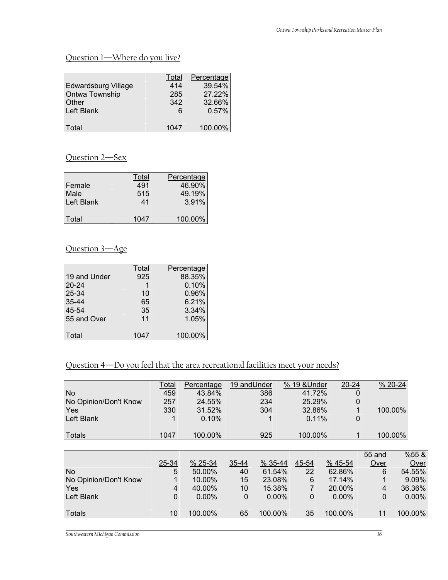## Question 1—Where do you live?

|                            | Total | Percentage |
|----------------------------|-------|------------|
| <b>Edwardsburg Village</b> | 414   | 39.54%     |
| Ontwa Township             | 285   | 27.22%     |
| <b>Other</b>               | 342   | 32.66%     |
| <b>Left Blank</b>          | 6     | 0.57%      |
|                            |       |            |
| l Total                    | 1047  | 100.00%    |

## Question 2—Sex

| Female<br>Male<br><b>Left Blank</b> | Total<br>491<br>515<br>41 | Percentage<br>46.90%<br>49.19%<br>3.91% |
|-------------------------------------|---------------------------|-----------------------------------------|
| Total                               | 1047                      | 100.00%                                 |

## Question 3—Age

|              | Total | Percentage |
|--------------|-------|------------|
| 19 and Under | 925   | 88.35%     |
| $20 - 24$    |       | 0.10%      |
| 25-34        | 10    | 0.96%      |
| 35-44        | 65    | 6.21%      |
| 45-54        | 35    | 3.34%      |
| 55 and Over  | 11    | 1.05%      |
| Total        | 1047  | 100.00%    |

## Question 4—Do you feel that the area recreational facilities meet your needs?

| No.                   | Total<br>459 | Percentage<br>43.84% | 19 and Under | 386         | % 19 & Under | $20 - 24$<br>41.72%   | O              | % 20-24  |
|-----------------------|--------------|----------------------|--------------|-------------|--------------|-----------------------|----------------|----------|
| No Opinion/Don't Know | 257          | 24.55%               |              | 234         |              | 25.29%                | 0              |          |
| Yes                   | 330          | 31.52%               |              | 304         |              | 32.86%                |                | 100.00%  |
| Left Blank            |              | 0.10%                |              |             |              | 0.11%                 | 0              |          |
| <b>Totals</b>         | 1047         | 100.00%              |              | 925         | 100.00%      |                       | 1              | 100.00%  |
|                       |              |                      |              |             |              |                       |                |          |
|                       |              |                      |              |             |              |                       | 55 and         | %55&     |
|                       | $25 - 34$    | $% 25-34$            | $35 - 44$    | $% 35 - 44$ | $45 - 54$    | $\frac{9645 - 54}{6}$ | Over           | Over     |
| No.                   | 5            | 50.00%               | 40           | 61.54%      | 22           | 62.86%                | 6              | 54.55%   |
| No Opinion/Don't Know |              | 10.00%               | 15           | 23.08%      | 6            | 17.14%                |                | 9.09%    |
| Yes                   | 4            | 40.00%               | 10           | 15.38%      |              | 20.00%                | $\overline{4}$ | 36.36%   |
| Left Blank            | 0            | $0.00\%$             | 0            | $0.00\%$    | 0            | $0.00\%$              | $\mathbf{0}$   | $0.00\%$ |
| <b>Totals</b>         | 10           | 100.00%              | 65           | 100.00%     | 35           | 100.00%               | 11             | 100.00%  |

*Southwestern Michigan Commission 16*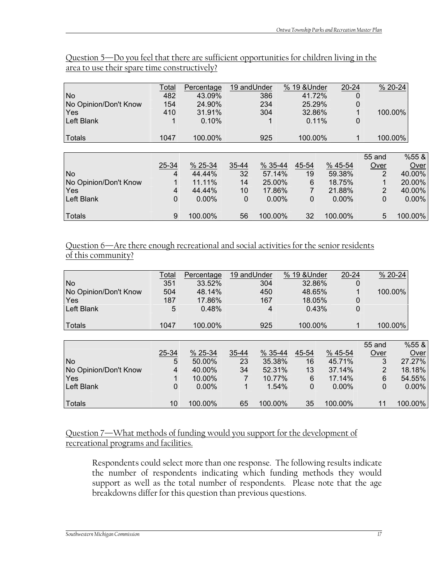|                       | Total | Percentage | 19 and Under |             | % 19 & Under | $20 - 24$   |                | $% 20-24$ |
|-----------------------|-------|------------|--------------|-------------|--------------|-------------|----------------|-----------|
| N <sub>o</sub>        | 482   | 43.09%     |              | 386         | 41.72%       |             | 0              |           |
| No Opinion/Don't Know | 154   | 24.90%     |              | 234         | 25.29%       |             | 0              |           |
| Yes                   | 410   | 31.91%     |              | 304         | 32.86%       |             |                | 100.00%   |
| Left Blank            | 1     | 0.10%      |              |             |              | 0.11%       | 0              |           |
| Totals                | 1047  | 100.00%    |              | 925         | 100.00%      |             |                | 100.00%   |
|                       |       |            |              |             |              |             |                |           |
|                       |       |            |              |             |              |             | 55 and         | %55 &     |
|                       | 25-34 | $% 25-34$  | 35-44        | $% 35 - 44$ | 45-54        | $% 45 - 54$ | Over           | Over      |
| N <sub>o</sub>        | 4     | 44.44%     | 32           | 57.14%      | 19           | 59.38%      | 2              | 40.00%    |
| No Opinion/Don't Know |       | 11.11%     | 14           | 25.00%      | 6            | 18.75%      |                | 20.00%    |
| Yes                   | 4     | 44.44%     | 10           | 17.86%      |              | 21.88%      | $\overline{2}$ | 40.00%    |
| Left Blank            | 0     | $0.00\%$   | 0            | $0.00\%$    | $\Omega$     | $0.00\%$    | $\mathbf{0}$   | $0.00\%$  |
| Totals                | 9     | 100.00%    | 56           | 100.00%     | 32           | 100.00%     | 5              | 100.00%   |

Question 5—Do you feel that there are sufficient opportunities for children living in the area to use their spare time constructively?

Question 6—Are there enough recreational and social activities for the senior residents of this community?

|                       | <b>Total</b> | Percentage | 19 and Under |         | % 19 & Under | $20 - 24$ |             | % 20-24  |
|-----------------------|--------------|------------|--------------|---------|--------------|-----------|-------------|----------|
| <b>No</b>             | 351          | 33.52%     |              | 304     | 32.86%       |           | 0           |          |
| No Opinion/Don't Know | 504          | 48.14%     |              | 450     | 48.65%       |           |             | 100.00%  |
| Yes                   | 187          | 17.86%     |              | 167     | 18.05%       |           | 0           |          |
| Left Blank            | 5            | 0.48%      |              | 4       | 0.43%        |           | 0           |          |
| <b>Totals</b>         | 1047         | 100.00%    |              | 925     | 100.00%      |           |             | 100.00%  |
|                       |              |            |              |         |              |           |             |          |
|                       |              |            |              |         |              |           | 55 and      | %55&     |
|                       | 25-34        | % 25-34    | 35-44        | % 35-44 | 45-54        | % 45-54   | Over        | Over     |
| <b>No</b>             | 5            | 50.00%     | 23           | 35.38%  | 16           | 45.71%    | 3           | 27.27%   |
| No Opinion/Don't Know | 4            | 40.00%     | 34           | 52.31%  | 13           | 37.14%    | 2           | 18.18%   |
| Yes                   |              | 10.00%     | 7            | 10.77%  | 6            | 17.14%    | 6           | 54.55%   |
| Left Blank            | 0            | $0.00\%$   | 1            | 1.54%   | $\Omega$     | $0.00\%$  | $\mathbf 0$ | $0.00\%$ |
| <b>Totals</b>         | 10           | 100.00%    | 65           | 100.00% | 35           | 100.00%   | 11          | 100.00%  |

## Question 7—What methods of funding would you support for the development of recreational programs and facilities.

Respondents could select more than one response. The following results indicate the number of respondents indicating which funding methods they would support as well as the total number of respondents. Please note that the age breakdowns differ for this question than previous questions.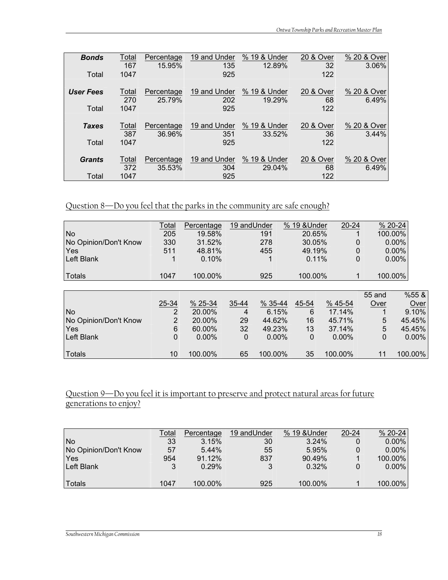| <b>Bonds</b>     | <u>Total</u> | Percentage | 19 and Under | % 19 & Under | 20 & Over | % 20 & Over |
|------------------|--------------|------------|--------------|--------------|-----------|-------------|
|                  | 167          | 15.95%     | 135          | 12.89%       | 32        | 3.06%       |
| Total            | 1047         |            | 925          |              | 122       |             |
| <b>User Fees</b> | <b>Total</b> | Percentage | 19 and Under | % 19 & Under | 20 & Over | % 20 & Over |
|                  | 270          | 25.79%     | 202          | 19.29%       | 68        | 6.49%       |
| Total            | 1047         |            | 925          |              | 122       |             |
| <b>Taxes</b>     | <b>Total</b> | Percentage | 19 and Under | % 19 & Under | 20 & Over | % 20 & Over |
|                  | 387          | 36.96%     | 351          | 33.52%       | 36        | 3.44%       |
| Total            | 1047         |            | 925          |              | 122       |             |
| <b>Grants</b>    | Total        | Percentage | 19 and Under | % 19 & Under | 20 & Over | % 20 & Over |
|                  | 372          | 35.53%     | 304          | 29.04%       | 68        | 6.49%       |
| Total            | 1047         |            | 925          |              | 122       |             |

## Question 8—Do you feel that the parks in the community are safe enough?

|                       | Total          | Percentage | 19 and Under |             | % 19 & Under | $20 - 24$   |             | % 20-24  |
|-----------------------|----------------|------------|--------------|-------------|--------------|-------------|-------------|----------|
| <b>No</b>             | 205            | 19.58%     |              | 191         | 20.65%       |             |             | 100.00%  |
| No Opinion/Don't Know | 330            | 31.52%     |              | 278         | 30.05%       | 0           |             | 0.00%    |
| Yes                   | 511            | 48.81%     |              | 455         | 49.19%       | 0           |             | $0.00\%$ |
| Left Blank            |                | 0.10%      |              |             | 0.11%        | 0           |             | $0.00\%$ |
| <b>Totals</b>         | 1047           | 100.00%    |              | 925         | 100.00%      | 1           |             | 100.00%  |
|                       |                |            |              |             |              |             |             |          |
|                       |                |            |              |             |              |             | 55 and      | %55 &    |
|                       | 25-34          | % 25-34    | 35-44        | $% 35 - 44$ | 45-54        | $% 45 - 54$ | Over        | Over     |
| <b>No</b>             | 2              | 20.00%     | 4            | 6.15%       | 6            | 17.14%      |             | 9.10%    |
| No Opinion/Don't Know | $\overline{2}$ | 20.00%     | 29           | 44.62%      | 16           | 45.71%      | 5           | 45.45%   |
| Yes                   | 6              | 60.00%     | 32           | 49.23%      | 13           | 37.14%      | 5           | 45.45%   |
| Left Blank            | 0              | $0.00\%$   | 0            | $0.00\%$    | $\mathbf 0$  | $0.00\%$    | $\mathbf 0$ | $0.00\%$ |
| <b>Totals</b>         | 10             | 100.00%    | 65           | 100.00%     | 35           | 100.00%     | 11          | 100.00%  |

## Question 9—Do you feel it is important to preserve and protect natural areas for future generations to enjoy?

|                       | Total | Percentage | 19 and Under | % 19 & Under | $20 - 24$ | $% 20-24$ |
|-----------------------|-------|------------|--------------|--------------|-----------|-----------|
| <b>No</b>             | 33    | 3.15%      | 30           | 3.24%        | 0         | $0.00\%$  |
| No Opinion/Don't Know | 57    | 5.44%      | 55           | 5.95%        | 0         | $0.00\%$  |
| Yes                   | 954   | 91.12%     | 837          | 90.49%       |           | 100.00%   |
| <b>Left Blank</b>     | 2     | 0.29%      | 3            | 0.32%        | 0         | $0.00\%$  |
|                       |       |            |              |              |           |           |
| Totals                | 1047  | 100.00%    | 925          | 100.00%      |           | 100.00%   |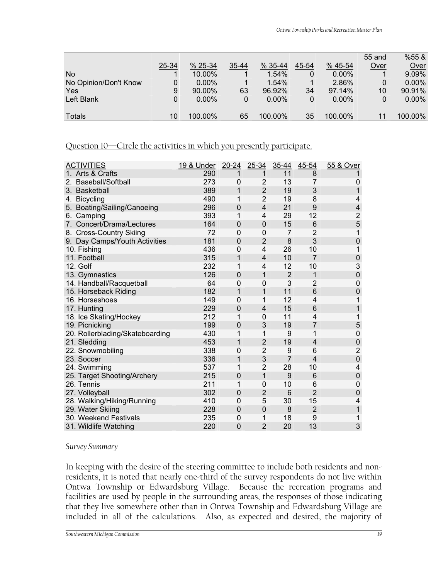|                       |       |           |       |             |       |             | 55 and      | %55 &    |
|-----------------------|-------|-----------|-------|-------------|-------|-------------|-------------|----------|
|                       | 25-34 | $% 25-34$ | 35-44 | $% 35 - 44$ | 45-54 | $% 45 - 54$ | Over        | Over     |
| <b>No</b>             |       | 10.00%    |       | 1.54%       | 0     | $0.00\%$    |             | 9.09%    |
| No Opinion/Don't Know |       | $0.00\%$  |       | 1.54%       |       | 2.86%       | $\Omega$    | $0.00\%$ |
| Yes                   | 9     | 90.00%    | 63    | 96.92%      | 34    | 97.14%      | 10          | 90.91%   |
| Left Blank            |       | $0.00\%$  | 0     | $0.00\%$    |       | $0.00\%$    | $\mathbf 0$ | $0.00\%$ |
|                       |       |           |       |             |       |             |             |          |
| Totals                | 10    | 100.00%   | 65    | 100.00%     | 35    | 100.00%     | 11          | 100.00%  |

Question 10—Circle the activities in which you presently participate.

| <b>ACTIVITIES</b>               | 19 & Under | $20 - 24$      | 25-34          | 35-44          | 45-54           | 55 & Over               |
|---------------------------------|------------|----------------|----------------|----------------|-----------------|-------------------------|
| 1. Arts & Crafts                | 290        | 1              | 1              | 11             | 8               | 1                       |
| Baseball/Softball<br>2.         | 273        | 0              | $\overline{2}$ | 13             | 7               | 0                       |
| 3. Basketball                   | 389        | 1              | $\overline{2}$ | 19             | 3               | $\overline{1}$          |
| 4. Bicycling                    | 490        | 1              | $\overline{2}$ | 19             | 8               | 4                       |
| 5. Boating/Sailing/Canoeing     | 296        | $\mathbf 0$    | $\overline{4}$ | 21             | 9               | 4                       |
| 6. Camping                      | 393        | 1              | 4              | 29             | 12              | $\overline{\mathbf{c}}$ |
| 7. Concert/Drama/Lectures       | 164        | 0              | 0              | 15             | 6               | 5                       |
| 8. Cross-Country Skiing         | 72         | $\mathbf 0$    | 0              | 7              | 2               | 1                       |
| 9. Day Camps/Youth Activities   | 181        | $\mathbf 0$    | $\overline{2}$ | 8              | 3               | 0                       |
| 10. Fishing                     | 436        | $\mathbf 0$    | $\overline{4}$ | 26             | 10              | 1                       |
| 11. Football                    | 315        | 1              | 4              | 10             | $\overline{7}$  | $\mathbf 0$             |
| 12. Golf                        | 232        | 1              | 4              | 12             | 10              | 3                       |
| 13. Gymnastics                  | 126        | $\mathbf 0$    | 1              | $\overline{2}$ | 1               | $\overline{0}$          |
| 14. Handball/Racquetball        | 64         | $\mathbf{0}$   | 0              | 3              | 2               | 0                       |
| 15. Horseback Riding            | 182        | 1              | 1              | 11             | $6\phantom{1}6$ | 0                       |
| 16. Horseshoes                  | 149        | $\mathbf 0$    | 1              | 12             | 4               | 1                       |
| 17. Hunting                     | 229        | 0              | 4              | 15             | 6               | 1                       |
| 18. Ice Skating/Hockey          | 212        | 1              | $\overline{0}$ | 11             | 4               | 1                       |
| 19. Picnicking                  | 199        | $\mathbf 0$    | 3              | 19             | $\overline{7}$  | 5                       |
| 20. Rollerblading/Skateboarding | 430        | 1              | 1              | 9              | 1               | $\mathbf 0$             |
| 21. Sledding                    | 453        | 1              | $\overline{2}$ | 19             | 4               | $\mathbf 0$             |
| 22. Snowmobiling                | 338        | 0              | $\overline{2}$ | 9              | 6               | $\overline{c}$          |
| 23. Soccer                      | 336        | 1              | 3              | $\overline{7}$ | 4               | $\overline{0}$          |
| 24. Swimming                    | 537        | 1              | $\overline{2}$ | 28             | 10              | 4                       |
| 25. Target Shooting/Archery     | 215        | $\mathbf 0$    | 1              | 9              | $6\phantom{1}6$ | $\mathbf{0}$            |
| 26. Tennis                      | 211        | 1              | 0              | 10             | 6               | 0                       |
| 27. Volleyball                  | 302        | $\mathbf 0$    | $\overline{2}$ | 6              | $\overline{2}$  | 0                       |
| 28. Walking/Hiking/Running      | 410        | $\mathbf 0$    | 5              | 30             | 15              | 4                       |
| 29. Water Skiing                | 228        | 0              | $\mathbf 0$    | 8              | $\overline{2}$  | 1                       |
| 30. Weekend Festivals           | 235        | 0              | 1              | 18             | 9               | 1                       |
| 31. Wildlife Watching           | 220        | $\overline{0}$ | $\overline{2}$ | 20             | 13              | 3                       |

*Survey Summary*

In keeping with the desire of the steering committee to include both residents and nonresidents, it is noted that nearly one-third of the survey respondents do not live within Ontwa Township or Edwardsburg Village. Because the recreation programs and facilities are used by people in the surrounding areas, the responses of those indicating that they live somewhere other than in Ontwa Township and Edwardsburg Village are included in all of the calculations. Also, as expected and desired, the majority of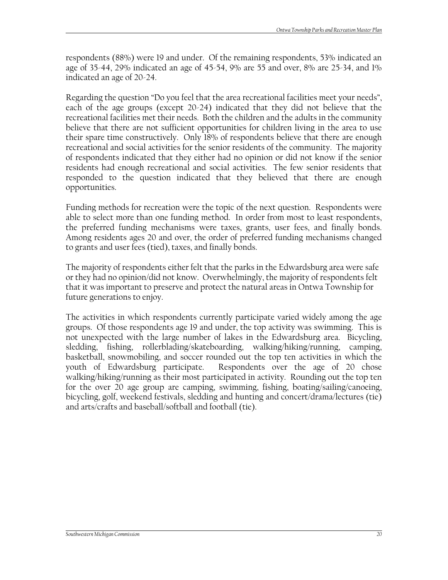respondents (88%) were 19 and under. Of the remaining respondents, 53% indicated an age of 35-44, 29% indicated an age of 45-54, 9% are 55 and over, 8% are 25-34, and 1% indicated an age of 20-24.

Regarding the question "Do you feel that the area recreational facilities meet your needs", each of the age groups (except 20-24) indicated that they did not believe that the recreational facilities met their needs. Both the children and the adults in the community believe that there are not sufficient opportunities for children living in the area to use their spare time constructively. Only 18% of respondents believe that there are enough recreational and social activities for the senior residents of the community. The majority of respondents indicated that they either had no opinion or did not know if the senior residents had enough recreational and social activities. The few senior residents that responded to the question indicated that they believed that there are enough opportunities.

Funding methods for recreation were the topic of the next question. Respondents were able to select more than one funding method. In order from most to least respondents, the preferred funding mechanisms were taxes, grants, user fees, and finally bonds. Among residents ages 20 and over, the order of preferred funding mechanisms changed to grants and user fees (tied), taxes, and finally bonds.

The majority of respondents either felt that the parks in the Edwardsburg area were safe or they had no opinion/did not know. Overwhelmingly, the majority of respondents felt that it was important to preserve and protect the natural areas in Ontwa Township for future generations to enjoy.

The activities in which respondents currently participate varied widely among the age groups. Of those respondents age 19 and under, the top activity was swimming. This is not unexpected with the large number of lakes in the Edwardsburg area. Bicycling, sledding, fishing, rollerblading/skateboarding, walking/hiking/running, camping, basketball, snowmobiling, and soccer rounded out the top ten activities in which the youth of Edwardsburg participate. Respondents over the age of 20 chose walking/hiking/running as their most participated in activity. Rounding out the top ten for the over 20 age group are camping, swimming, fishing, boating/sailing/canoeing, bicycling, golf, weekend festivals, sledding and hunting and concert/drama/lectures (tie) and arts/crafts and baseball/softball and football (tie).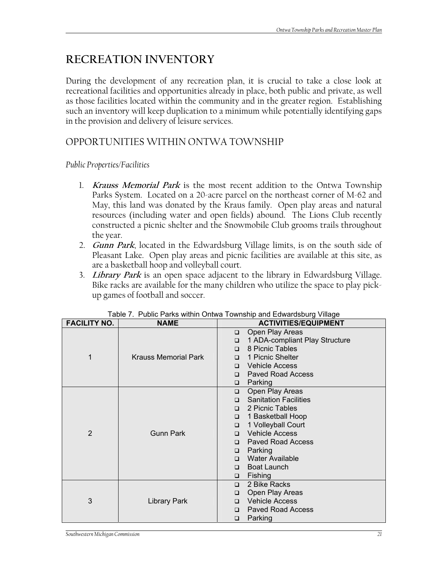# **RECREATION INVENTORY**

During the development of any recreation plan, it is crucial to take a close look at recreational facilities and opportunities already in place, both public and private, as well as those facilities located within the community and in the greater region. Establishing such an inventory will keep duplication to a minimum while potentially identifying gaps in the provision and delivery of leisure services.

## OPPORTUNITIES WITHIN ONTWA TOWNSHIP

## *Public Properties/Facilities*

- 1. **Krauss Memorial Park** is the most recent addition to the Ontwa Township Parks System. Located on a 20-acre parcel on the northeast corner of M-62 and May, this land was donated by the Kraus family. Open play areas and natural resources (including water and open fields) abound. The Lions Club recently constructed a picnic shelter and the Snowmobile Club grooms trails throughout the year.
- 2. **Gunn Park**, located in the Edwardsburg Village limits, is on the south side of Pleasant Lake. Open play areas and picnic facilities are available at this site, as are a basketball hoop and volleyball court.
- 3. **Library Park** is an open space adjacent to the library in Edwardsburg Village. Bike racks are available for the many children who utilize the space to play pickup games of football and soccer.

| <b>FACILITY NO.</b> | <b>NAME</b>                 | <b>ACTIVITIES/EQUIPMENT</b>              |  |  |
|---------------------|-----------------------------|------------------------------------------|--|--|
|                     |                             | Open Play Areas<br>$\Box$                |  |  |
|                     |                             | 1 ADA-compliant Play Structure<br>$\Box$ |  |  |
|                     |                             | 8 Picnic Tables<br>$\Box$                |  |  |
| 1                   | <b>Krauss Memorial Park</b> | 1 Picnic Shelter<br>$\Box$               |  |  |
|                     |                             | <b>Vehicle Access</b><br>$\Box$          |  |  |
|                     |                             | <b>Paved Road Access</b><br>$\Box$       |  |  |
|                     |                             | Parking<br>$\Box$                        |  |  |
|                     |                             | Open Play Areas<br>$\Box$                |  |  |
|                     |                             | <b>Sanitation Facilities</b><br>$\Box$   |  |  |
|                     |                             | 2 Picnic Tables<br>$\Box$                |  |  |
|                     |                             | 1 Basketball Hoop<br>$\Box$              |  |  |
|                     |                             | 1 Volleyball Court<br>$\Box$             |  |  |
| 2                   | <b>Gunn Park</b>            | Vehicle Access<br>$\Box$                 |  |  |
|                     |                             | <b>Paved Road Access</b><br>$\Box$       |  |  |
|                     |                             | Parking<br>$\Box$                        |  |  |
|                     |                             | <b>Water Available</b><br>$\Box$         |  |  |
|                     |                             | <b>Boat Launch</b><br>$\Box$             |  |  |
|                     |                             | Fishing<br>$\Box$                        |  |  |
|                     |                             | 2 Bike Racks<br>$\Box$                   |  |  |
|                     |                             | Open Play Areas<br>$\Box$                |  |  |
| 3                   | <b>Library Park</b>         | □ Vehicle Access                         |  |  |
|                     |                             | <b>Paved Road Access</b><br>$\Box$       |  |  |
|                     |                             | Parking<br>$\Box$                        |  |  |

Table 7. Public Parks within Ontwa Township and Edwardsburg Village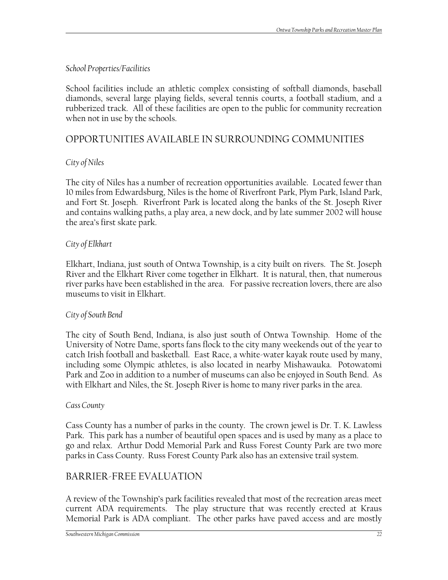## *School Properties/Facilities*

School facilities include an athletic complex consisting of softball diamonds, baseball diamonds, several large playing fields, several tennis courts, a football stadium, and a rubberized track. All of these facilities are open to the public for community recreation when not in use by the schools.

## OPPORTUNITIES AVAILABLE IN SURROUNDING COMMUNITIES

## *City of Niles*

The city of Niles has a number of recreation opportunities available. Located fewer than 10 miles from Edwardsburg, Niles is the home of Riverfront Park, Plym Park, Island Park, and Fort St. Joseph. Riverfront Park is located along the banks of the St. Joseph River and contains walking paths, a play area, a new dock, and by late summer 2002 will house the area's first skate park.

## *City of Elkhart*

Elkhart, Indiana, just south of Ontwa Township, is a city built on rivers. The St. Joseph River and the Elkhart River come together in Elkhart. It is natural, then, that numerous river parks have been established in the area. For passive recreation lovers, there are also museums to visit in Elkhart.

## *City of South Bend*

The city of South Bend, Indiana, is also just south of Ontwa Township. Home of the University of Notre Dame, sports fans flock to the city many weekends out of the year to catch Irish football and basketball. East Race, a white-water kayak route used by many, including some Olympic athletes, is also located in nearby Mishawauka. Potowatomi Park and Zoo in addition to a number of museums can also be enjoyed in South Bend. As with Elkhart and Niles, the St. Joseph River is home to many river parks in the area.

## *Cass County*

Cass County has a number of parks in the county. The crown jewel is Dr. T. K. Lawless Park. This park has a number of beautiful open spaces and is used by many as a place to go and relax. Arthur Dodd Memorial Park and Russ Forest County Park are two more parks in Cass County. Russ Forest County Park also has an extensive trail system.

## BARRIER-FREE EVALUATION

A review of the Township's park facilities revealed that most of the recreation areas meet current ADA requirements. The play structure that was recently erected at Kraus Memorial Park is ADA compliant. The other parks have paved access and are mostly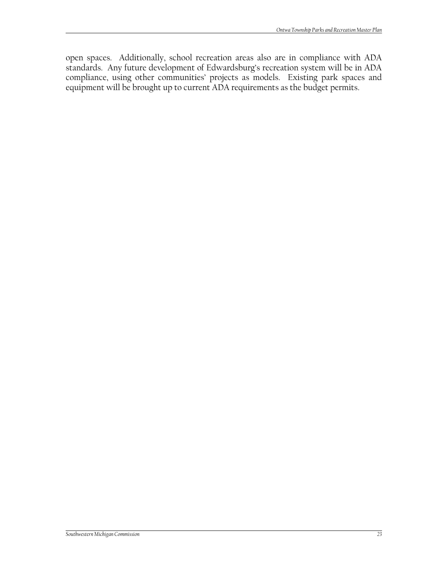open spaces. Additionally, school recreation areas also are in compliance with ADA standards. Any future development of Edwardsburg's recreation system will be in ADA compliance, using other communities' projects as models. Existing park spaces and equipment will be brought up to current ADA requirements as the budget permits.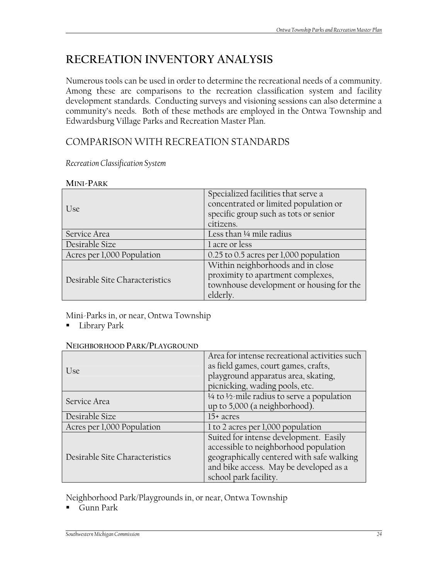# **RECREATION INVENTORY ANALYSIS**

Numerous tools can be used in order to determine the recreational needs of a community. Among these are comparisons to the recreation classification system and facility development standards. Conducting surveys and visioning sessions can also determine a community's needs. Both of these methods are employed in the Ontwa Township and Edwardsburg Village Parks and Recreation Master Plan.

## COMPARISON WITH RECREATION STANDARDS

*Recreation Classification System* 

| Use                            | Specialized facilities that serve a<br>concentrated or limited population or<br>specific group such as tots or senior<br>citizens. |
|--------------------------------|------------------------------------------------------------------------------------------------------------------------------------|
| Service Area                   | Less than 1/4 mile radius                                                                                                          |
| Desirable Size                 | 1 acre or less                                                                                                                     |
| Acres per 1,000 Population     | 0.25 to 0.5 acres per 1,000 population                                                                                             |
| Desirable Site Characteristics | Within neighborhoods and in close<br>proximity to apartment complexes,<br>townhouse development or housing for the<br>elderly.     |

Mini-Parks in, or near, Ontwa Township

**Library Park** 

| U <sub>Se</sub>                | Area for intense recreational activities such<br>as field games, court games, crafts,<br>playground apparatus area, skating,<br>picnicking, wading pools, etc.                                  |
|--------------------------------|-------------------------------------------------------------------------------------------------------------------------------------------------------------------------------------------------|
| Service Area                   | 1/4 to 1/2-mile radius to serve a population<br>up to 5,000 (a neighborhood).                                                                                                                   |
| Desirable Size                 | $15+$ acres                                                                                                                                                                                     |
| Acres per 1,000 Population     | 1 to 2 acres per 1,000 population                                                                                                                                                               |
| Desirable Site Characteristics | Suited for intense development. Easily<br>accessible to neighborhood population<br>geographically centered with safe walking<br>and bike access. May be developed as a<br>school park facility. |

Neighborhood Park/Playgrounds in, or near, Ontwa Township

Gunn Park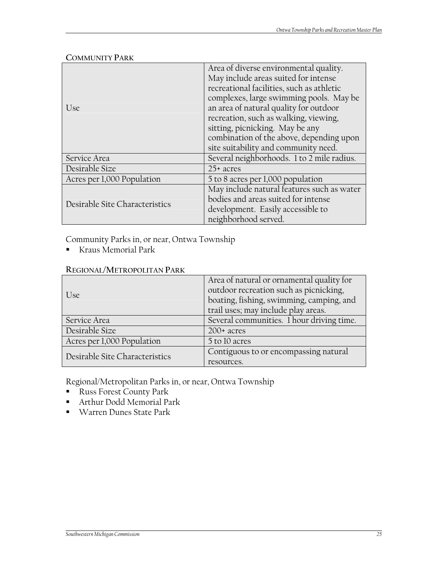|                                | Area of diverse environmental quality.                                            |  |  |  |
|--------------------------------|-----------------------------------------------------------------------------------|--|--|--|
|                                | May include areas suited for intense                                              |  |  |  |
|                                | recreational facilities, such as athletic                                         |  |  |  |
|                                | complexes, large swimming pools. May be<br>an area of natural quality for outdoor |  |  |  |
| U <sub>Se</sub>                |                                                                                   |  |  |  |
|                                | recreation, such as walking, viewing,                                             |  |  |  |
|                                | sitting, picnicking. May be any                                                   |  |  |  |
|                                | combination of the above, depending upon                                          |  |  |  |
|                                | site suitability and community need.                                              |  |  |  |
| Service Area                   | Several neighborhoods. 1 to 2 mile radius.                                        |  |  |  |
| Desirable Size                 | $25+$ acres                                                                       |  |  |  |
| Acres per 1,000 Population     | 5 to 8 acres per 1,000 population                                                 |  |  |  |
|                                | May include natural features such as water                                        |  |  |  |
| Desirable Site Characteristics | bodies and areas suited for intense                                               |  |  |  |
|                                | development. Easily accessible to                                                 |  |  |  |
|                                | neighborhood served.                                                              |  |  |  |

#### **COMMUNITY PARK**

Community Parks in, or near, Ontwa Township

Kraus Memorial Park

#### **REGIONAL/METROPOLITAN PARK**

|                                | Area of natural or ornamental quality for |  |  |  |
|--------------------------------|-------------------------------------------|--|--|--|
| Use                            | outdoor recreation such as picnicking,    |  |  |  |
|                                | boating, fishing, swimming, camping, and  |  |  |  |
|                                | trail uses; may include play areas.       |  |  |  |
| Service Area                   | Several communities. 1 hour driving time. |  |  |  |
| Desirable Size                 | $200+$ acres                              |  |  |  |
| Acres per 1,000 Population     | 5 to 10 acres                             |  |  |  |
| Desirable Site Characteristics | Contiguous to or encompassing natural     |  |  |  |
|                                | resources.                                |  |  |  |

Regional/Metropolitan Parks in, or near, Ontwa Township

- **Russ Forest County Park**
- Arthur Dodd Memorial Park
- Warren Dunes State Park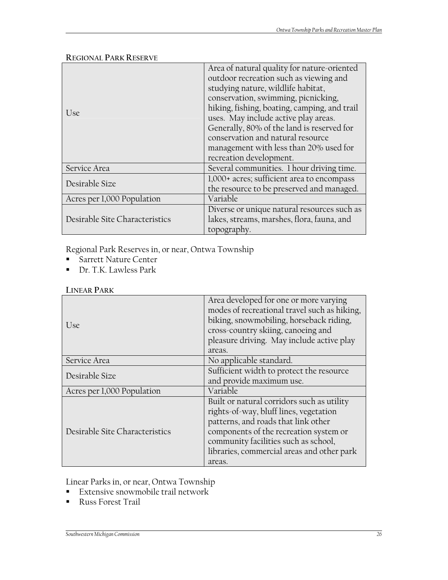#### **REGIONAL PARK RESERVE**

|                                | Area of natural quality for nature-oriented  |  |  |
|--------------------------------|----------------------------------------------|--|--|
|                                | outdoor recreation such as viewing and       |  |  |
|                                | studying nature, wildlife habitat,           |  |  |
|                                | conservation, swimming, picnicking,          |  |  |
| U <sub>Se</sub>                | hiking, fishing, boating, camping, and trail |  |  |
|                                | uses. May include active play areas.         |  |  |
|                                | Generally, 80% of the land is reserved for   |  |  |
|                                | conservation and natural resource            |  |  |
|                                | management with less than 20% used for       |  |  |
|                                | recreation development.                      |  |  |
| Service Area                   | Several communities. 1 hour driving time.    |  |  |
| Desirable Size                 | 1,000+ acres; sufficient area to encompass   |  |  |
|                                | the resource to be preserved and managed.    |  |  |
| Acres per 1,000 Population     | Variable                                     |  |  |
|                                | Diverse or unique natural resources such as  |  |  |
| Desirable Site Characteristics | lakes, streams, marshes, flora, fauna, and   |  |  |
|                                | topography.                                  |  |  |

Regional Park Reserves in, or near, Ontwa Township

- **Sarrett Nature Center**
- Dr. T.K. Lawless Park

#### **LINEAR PARK**

| U <sub>Se</sub>                | Area developed for one or more varying<br>modes of recreational travel such as hiking,<br>biking, snowmobiling, horseback riding,<br>cross-country skiing, canoeing and<br>pleasure driving. May include active play<br>areas.                                        |
|--------------------------------|-----------------------------------------------------------------------------------------------------------------------------------------------------------------------------------------------------------------------------------------------------------------------|
| Service Area                   | No applicable standard.                                                                                                                                                                                                                                               |
| Desirable Size                 | Sufficient width to protect the resource<br>and provide maximum use.                                                                                                                                                                                                  |
| Acres per 1,000 Population     | Variable                                                                                                                                                                                                                                                              |
| Desirable Site Characteristics | Built or natural corridors such as utility<br>rights-of-way, bluff lines, vegetation<br>patterns, and roads that link other<br>components of the recreation system or<br>community facilities such as school,<br>libraries, commercial areas and other park<br>areas. |

Linear Parks in, or near, Ontwa Township

- **Extensive snowmobile trail network**
- Russ Forest Trail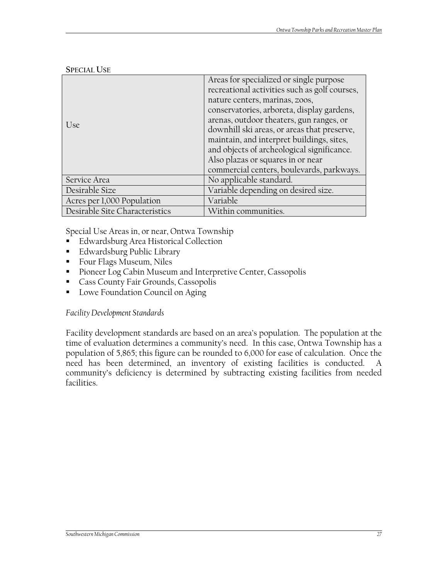|                                | Areas for specialized or single purpose<br>recreational activities such as golf courses,<br>nature centers, marinas, zoos, |
|--------------------------------|----------------------------------------------------------------------------------------------------------------------------|
|                                | conservatories, arboreta, display gardens,<br>arenas, outdoor theaters, gun ranges, or                                     |
| Use                            | downhill ski areas, or areas that preserve,                                                                                |
|                                | maintain, and interpret buildings, sites,                                                                                  |
|                                | and objects of archeological significance.                                                                                 |
|                                | Also plazas or squares in or near                                                                                          |
|                                | commercial centers, boulevards, parkways.                                                                                  |
| Service Area                   | No applicable standard.                                                                                                    |
| Desirable Size                 | Variable depending on desired size.                                                                                        |
| Acres per 1,000 Population     | Variable                                                                                                                   |
| Desirable Site Characteristics | Within communities.                                                                                                        |

**SPECIAL USE**

Special Use Areas in, or near, Ontwa Township

- **Edwardsburg Area Historical Collection**
- **Edwardsburg Public Library**
- **Four Flags Museum, Niles**
- **Pioneer Log Cabin Museum and Interpretive Center, Cassopolis**
- **Cass County Fair Grounds, Cassopolis**
- **Lowe Foundation Council on Aging**

*Facility Development Standards* 

Facility development standards are based on an area's population. The population at the time of evaluation determines a community's need. In this case, Ontwa Township has a population of 5,865; this figure can be rounded to 6,000 for ease of calculation. Once the need has been determined, an inventory of existing facilities is conducted. A community's deficiency is determined by subtracting existing facilities from needed facilities.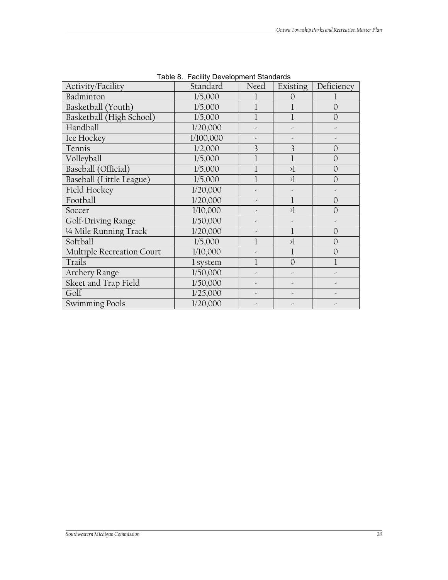| Activity/Facility         | Standard  | Need | Existing       | Deficiency     |
|---------------------------|-----------|------|----------------|----------------|
| Badminton                 | 1/5,000   |      | 0              |                |
| Basketball (Youth)        | 1/5,000   |      |                | $\Omega$       |
| Basketball (High School)  | 1/5,000   |      |                | $\overline{O}$ |
| Handball                  | 1/20,000  |      |                |                |
| Ice Hockey                | 1/100,000 |      |                |                |
| Tennis                    | 1/2,000   | 3    | 3              | $\Omega$       |
| Volleyball                | 1/5,000   |      |                | $\mathcal{O}$  |
| Baseball (Official)       | 1/5,000   |      | $\lambda$      | $\Omega$       |
| Baseball (Little League)  | 1/5,000   |      | $\lambda$      | $\overline{O}$ |
| Field Hockey              | 1/20,000  |      |                |                |
| Football                  | 1/20,000  |      | $\mathbf{l}$   | $\Omega$       |
| Soccer                    | 1/10,000  |      | $\lambda$      | $\Omega$       |
| Golf-Driving Range        | 1/50,000  | -    |                |                |
| 1/4 Mile Running Track    | 1/20,000  |      | $\mathbf{I}$   | $\overline{O}$ |
| Softball                  | 1/5,000   |      | $\lambda$      | $\Omega$       |
| Multiple Recreation Court | 1/10,000  |      | l              | $\overline{O}$ |
| Trails                    | 1 system  |      | $\overline{O}$ |                |
| <b>Archery Range</b>      | 1/50,000  |      |                |                |
| Skeet and Trap Field      | 1/50,000  | -    | ৴              |                |
| Golf                      | 1/25,000  |      |                |                |
| <b>Swimming Pools</b>     | 1/20,000  |      |                |                |

Table 8. Facility Development Standards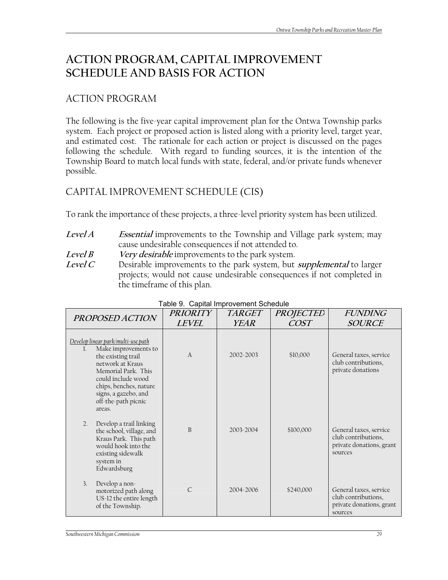# **ACTION PROGRAM, CAPITAL IMPROVEMENT SCHEDULE AND BASIS FOR ACTION**

## ACTION PROGRAM

The following is the five-year capital improvement plan for the Ontwa Township parks system. Each project or proposed action is listed along with a priority level, target year, and estimated cost. The rationale for each action or project is discussed on the pages following the schedule. With regard to funding sources, it is the intention of the Township Board to match local funds with state, federal, and/or private funds whenever possible.

## CAPITAL IMPROVEMENT SCHEDULE (CIS)

To rank the importance of these projects, a three-level priority system has been utilized.

- **Level A Essential** improvements to the Township and Village park system; may cause undesirable consequences if not attended to.
- **Level B Very desirable** improvements to the park system.
- **Level C** Desirable improvements to the park system, but **supplemental** to larger projects; would not cause undesirable consequences if not completed in the timeframe of this plan.

| PROPOSED ACTION                                                                                                                                                                                     | <b>PRIORITY</b> | <b>TARGET</b> | <b>PROJECTED</b> | <b>FUNDING</b>                                                                       |
|-----------------------------------------------------------------------------------------------------------------------------------------------------------------------------------------------------|-----------------|---------------|------------------|--------------------------------------------------------------------------------------|
|                                                                                                                                                                                                     | <b>LEVEL</b>    | <b>YEAR</b>   | <b>COST</b>      | <b>SOURCE</b>                                                                        |
| Develop linear park/multi-use path<br>Make improvements to<br>the existing trail<br>network at Kraus<br>Memorial Park. This<br>could include wood<br>chips, benches, nature<br>signs, a gazebo, and | $\overline{A}$  | 2002-2003     | \$10,000         | General taxes, service<br>club contributions,<br>private donations                   |
| off-the-path picnic<br>areas.<br>Develop a trail linking<br>2.<br>the school, village, and<br>Kraus Park. This path<br>would hook into the<br>existing sidewalk<br>system in<br>Edwardsburg         | B               | 2003-2004     | \$100,000        | General taxes, service<br>club contributions,<br>private donations, grant<br>sources |
| Develop a non-<br>$\overline{3}$ .<br>motorized path along<br>US-12 the entire length<br>of the Township.                                                                                           | $\mathsf{C}$    | 2004-2006     | \$240,000        | General taxes, service<br>club contributions,<br>private donations, grant<br>sources |

Table 9. Capital Improvement Schedule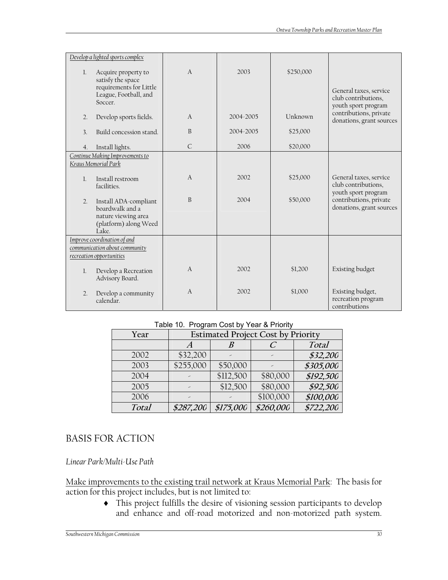|                  | Develop a lighted sports complex                                                                        |                |           |           |                                                                           |
|------------------|---------------------------------------------------------------------------------------------------------|----------------|-----------|-----------|---------------------------------------------------------------------------|
| 1.               | Acquire property to<br>satisfy the space<br>requirements for Little<br>League, Football, and<br>Soccer. | $\overline{A}$ | 2003      | \$250,000 | General taxes, service<br>club contributions,<br>youth sport program      |
| $\overline{2}$ . | Develop sports fields.                                                                                  | $\overline{A}$ | 2004-2005 | Unknown   | contributions, private<br>donations, grant sources                        |
| $\overline{3}$ . | Build concession stand.                                                                                 | <sub>B</sub>   | 2004-2005 | \$25,000  |                                                                           |
| 4.               | Install lights.                                                                                         | $\mathsf{C}$   | 2006      | \$20,000  |                                                                           |
|                  | Continue Making Improvements to<br>Kraus Memorial Park                                                  |                |           |           |                                                                           |
| $\mathbf{1}$     | Install restroom<br>facilities.                                                                         | $\overline{A}$ | 2002      | \$25,000  | General taxes, service<br>club contributions,                             |
| $\overline{2}$ . | Install ADA-compliant<br>boardwalk and a<br>nature viewing area<br>(platform) along Weed<br>Lake.       | B              | 2004      | \$50,000  | youth sport program<br>contributions, private<br>donations, grant sources |
|                  | Improve coordination of and                                                                             |                |           |           |                                                                           |
|                  | communication about community<br>recreation opportunities                                               |                |           |           |                                                                           |
|                  |                                                                                                         |                |           |           |                                                                           |
| 1.               | Develop a Recreation<br>Advisory Board.                                                                 | $\overline{A}$ | 2002      | \$1,200   | Existing budget                                                           |
| $\overline{2}$ . | Develop a community<br>calendar.                                                                        | $\overline{A}$ | 2002      | \$1,000   | Existing budget,<br>recreation program<br>contributions                   |

#### Table 10. Program Cost by Year & Priority

| Year  |           | <b>Estimated Project Cost by Priority</b> |           |           |
|-------|-----------|-------------------------------------------|-----------|-----------|
|       |           |                                           |           | Total     |
| 2002  | \$32,200  |                                           | ╱         | \$32,200  |
| 2003  | \$255,000 | \$50,000                                  |           | \$305,000 |
| 2004  |           | \$112,500                                 | \$80,000  | \$192,500 |
| 2005  |           | \$12,500                                  | \$80,000  | \$92,500  |
| 2006  |           |                                           | \$100,000 | \$100,000 |
| Total | \$287,200 | \$175,000                                 | \$260,000 | \$722,200 |

## BASIS FOR ACTION

#### *Linear Park/Multi-Use Path*

Make improvements to the existing trail network at Kraus Memorial Park: The basis for action for this project includes, but is not limited to:

♦ This project fulfills the desire of visioning session participants to develop and enhance and off-road motorized and non-motorized path system.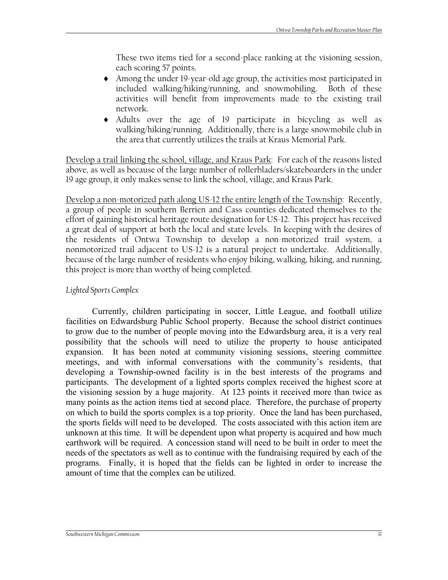These two items tied for a second-place ranking at the visioning session, each scoring 57 points.

- ♦ Among the under 19-year-old age group, the activities most participated in included walking/hiking/running, and snowmobiling. Both of these activities will benefit from improvements made to the existing trail network.
- ♦ Adults over the age of 19 participate in bicycling as well as walking/hiking/running. Additionally, there is a large snowmobile club in the area that currently utilizes the trails at Kraus Memorial Park.

Develop a trail linking the school, village, and Kraus Park: For each of the reasons listed above, as well as because of the large number of rollerbladers/skateboarders in the under 19 age group, it only makes sense to link the school, village, and Kraus Park.

Develop a non-motorized path along US-12 the entire length of the Township: Recently, a group of people in southern Berrien and Cass counties dedicated themselves to the effort of gaining historical heritage route designation for US-12. This project has received a great deal of support at both the local and state levels. In keeping with the desires of the residents of Ontwa Township to develop a non-motorized trail system, a nonmotorized trail adjacent to US-12 is a natural project to undertake. Additionally, because of the large number of residents who enjoy biking, walking, hiking, and running, this project is more than worthy of being completed.

#### *Lighted Sports Complex*

Currently, children participating in soccer, Little League, and football utilize facilities on Edwardsburg Public School property. Because the school district continues to grow due to the number of people moving into the Edwardsburg area, it is a very real possibility that the schools will need to utilize the property to house anticipated expansion. It has been noted at community visioning sessions, steering committee meetings, and with informal conversations with the community's residents, that developing a Township-owned facility is in the best interests of the programs and participants. The development of a lighted sports complex received the highest score at the visioning session by a huge majority. At 123 points it received more than twice as many points as the action items tied at second place. Therefore, the purchase of property on which to build the sports complex is a top priority. Once the land has been purchased, the sports fields will need to be developed. The costs associated with this action item are unknown at this time. It will be dependent upon what property is acquired and how much earthwork will be required. A concession stand will need to be built in order to meet the needs of the spectators as well as to continue with the fundraising required by each of the programs. Finally, it is hoped that the fields can be lighted in order to increase the amount of time that the complex can be utilized.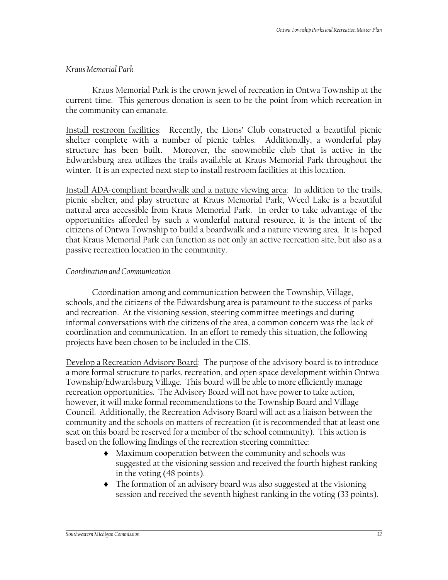#### *Kraus Memorial Park*

Kraus Memorial Park is the crown jewel of recreation in Ontwa Township at the current time. This generous donation is seen to be the point from which recreation in the community can emanate.

Install restroom facilities: Recently, the Lions' Club constructed a beautiful picnic shelter complete with a number of picnic tables. Additionally, a wonderful play structure has been built. Moreover, the snowmobile club that is active in the Edwardsburg area utilizes the trails available at Kraus Memorial Park throughout the winter. It is an expected next step to install restroom facilities at this location.

Install ADA-compliant boardwalk and a nature viewing area: In addition to the trails, picnic shelter, and play structure at Kraus Memorial Park, Weed Lake is a beautiful natural area accessible from Kraus Memorial Park. In order to take advantage of the opportunities afforded by such a wonderful natural resource, it is the intent of the citizens of Ontwa Township to build a boardwalk and a nature viewing area. It is hoped that Kraus Memorial Park can function as not only an active recreation site, but also as a passive recreation location in the community.

#### *Coordination and Communication*

Coordination among and communication between the Township, Village, schools, and the citizens of the Edwardsburg area is paramount to the success of parks and recreation. At the visioning session, steering committee meetings and during informal conversations with the citizens of the area, a common concern was the lack of coordination and communication. In an effort to remedy this situation, the following projects have been chosen to be included in the CIS.

Develop a Recreation Advisory Board: The purpose of the advisory board is to introduce a more formal structure to parks, recreation, and open space development within Ontwa Township/Edwardsburg Village. This board will be able to more efficiently manage recreation opportunities. The Advisory Board will not have power to take action, however, it will make formal recommendations to the Township Board and Village Council. Additionally, the Recreation Advisory Board will act as a liaison between the community and the schools on matters of recreation (it is recommended that at least one seat on this board be reserved for a member of the school community). This action is based on the following findings of the recreation steering committee:

- ♦ Maximum cooperation between the community and schools was suggested at the visioning session and received the fourth highest ranking in the voting (48 points).
- ♦ The formation of an advisory board was also suggested at the visioning session and received the seventh highest ranking in the voting (33 points).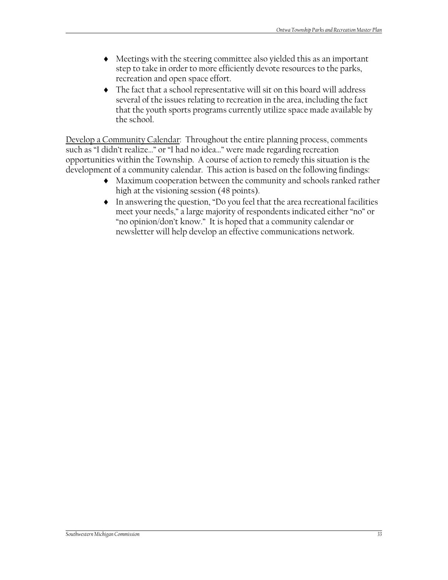- ♦ Meetings with the steering committee also yielded this as an important step to take in order to more efficiently devote resources to the parks, recreation and open space effort.
- ♦ The fact that a school representative will sit on this board will address several of the issues relating to recreation in the area, including the fact that the youth sports programs currently utilize space made available by the school.

Develop a Community Calendar: Throughout the entire planning process, comments such as "I didn't realize…" or "I had no idea…" were made regarding recreation opportunities within the Township. A course of action to remedy this situation is the development of a community calendar. This action is based on the following findings:

- ♦ Maximum cooperation between the community and schools ranked rather high at the visioning session (48 points).
- ♦ In answering the question, "Do you feel that the area recreational facilities meet your needs," a large majority of respondents indicated either "no" or "no opinion/don't know." It is hoped that a community calendar or newsletter will help develop an effective communications network.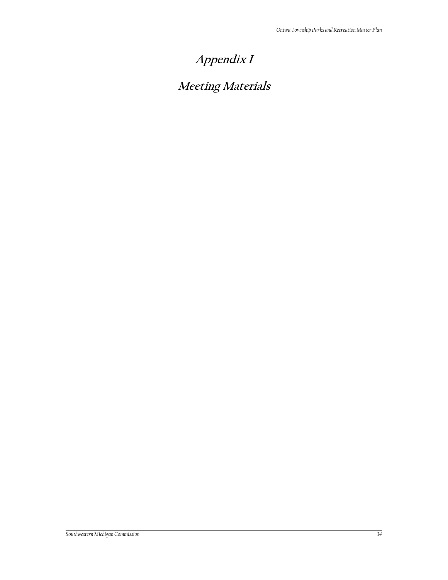# **Appendix I**

# **Meeting Materials**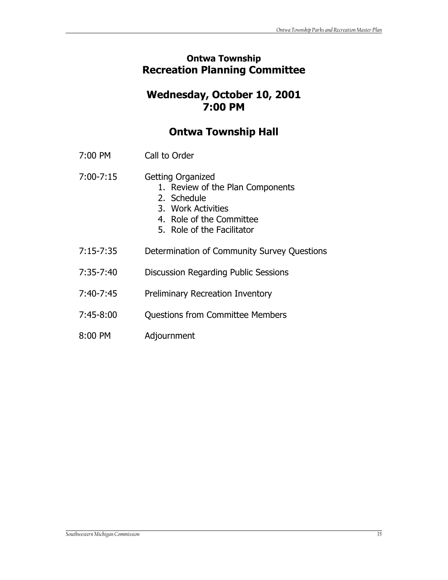## **Ontwa Township Recreation Planning Committee**

## **Wednesday, October 10, 2001 7:00 PM**

## **Ontwa Township Hall**

- 7:00 PM Call to Order
- 7:00-7:15 Getting Organized
	- 1. Review of the Plan Components
	- 2. Schedule
	- 3. Work Activities
	- 4. Role of the Committee
	- 5. Role of the Facilitator
- 7:15-7:35 Determination of Community Survey Questions
- 7:35-7:40 Discussion Regarding Public Sessions
- 7:40-7:45 Preliminary Recreation Inventory
- 7:45-8:00 Questions from Committee Members
- 8:00 PM Adjournment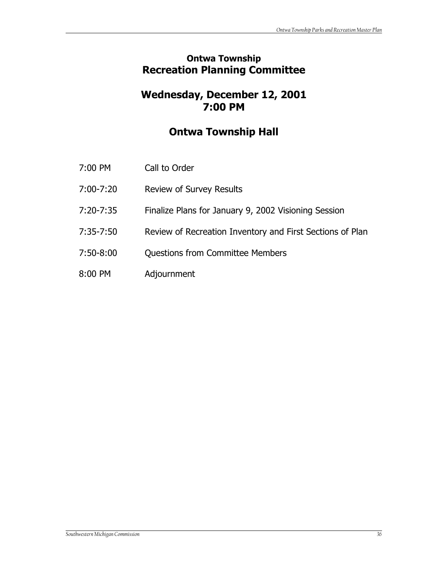## **Ontwa Township Recreation Planning Committee**

## **Wednesday, December 12, 2001 7:00 PM**

## **Ontwa Township Hall**

| Call to Order<br>7:00 PM |
|--------------------------|
|--------------------------|

- 7:00-7:20 Review of Survey Results
- 7:20-7:35 Finalize Plans for January 9, 2002 Visioning Session
- 7:35-7:50 Review of Recreation Inventory and First Sections of Plan
- 7:50-8:00 Questions from Committee Members
- 8:00 PM Adjournment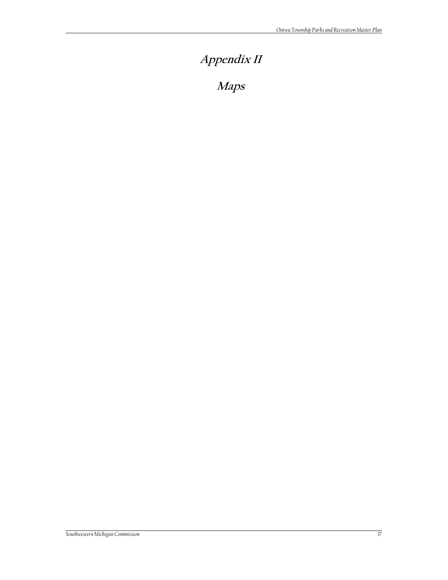# **Appendix II**

**Maps**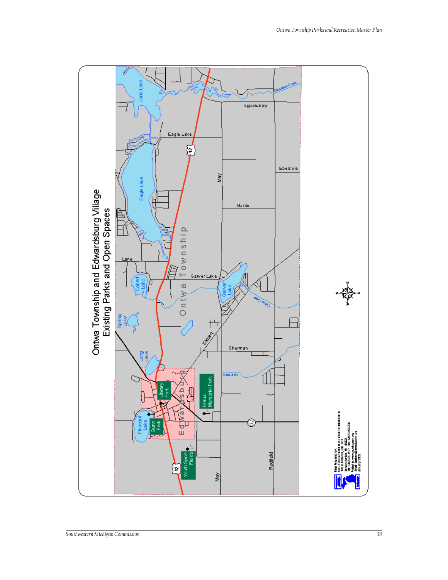